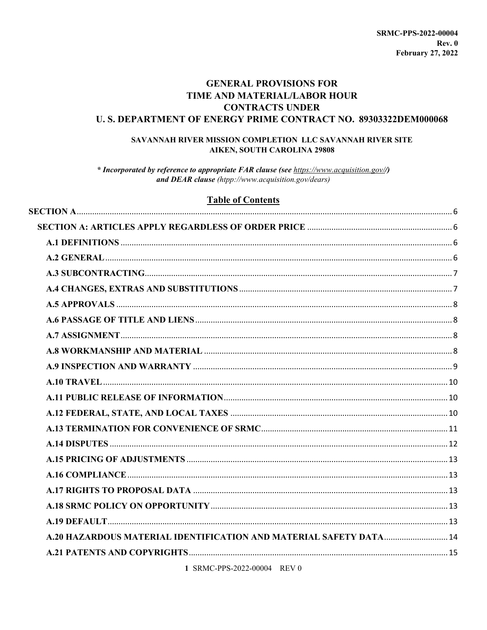# **GENERAL PROVISIONS FOR TIME AND MATERIAL/LABOR HOUR CONTRACTS UNDER U.S. DEPARTMENT OF ENERGY PRIME CONTRACT NO. 89303322DEM000068**

## SAVANNAH RIVER MISSION COMPLETION LLC SAVANNAH RIVER SITE **AIKEN, SOUTH CAROLINA 29808**

\* Incorporated by reference to appropriate FAR clause (see https://www.acquisition.gov//) and DEAR clause (htpp://www.acquisition.gov/dears)

# **Table of Contents**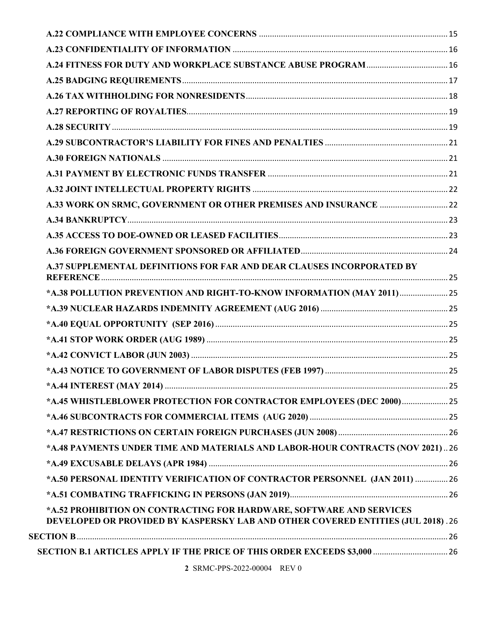| A.37 SUPPLEMENTAL DEFINITIONS FOR FAR AND DEAR CLAUSES INCORPORATED BY           |  |
|----------------------------------------------------------------------------------|--|
| *A.38 POLLUTION PREVENTION AND RIGHT-TO-KNOW INFORMATION (MAY 2011) 25           |  |
|                                                                                  |  |
|                                                                                  |  |
|                                                                                  |  |
|                                                                                  |  |
|                                                                                  |  |
|                                                                                  |  |
| *A.45 WHISTLEBLOWER PROTECTION FOR CONTRACTOR EMPLOYEES (DEC 2000) 25            |  |
|                                                                                  |  |
|                                                                                  |  |
| *A.48 PAYMENTS UNDER TIME AND MATERIALS AND LABOR-HOUR CONTRACTS (NOV 2021)26    |  |
|                                                                                  |  |
| *A.50 PERSONAL IDENTITY VERIFICATION OF CONTRACTOR PERSONNEL (JAN 2011)  26      |  |
|                                                                                  |  |
| *A.52 PROHIBITION ON CONTRACTING FOR HARDWARE, SOFTWARE AND SERVICES             |  |
| DEVELOPED OR PROVIDED BY KASPERSKY LAB AND OTHER COVERED ENTITIES (JUL 2018). 26 |  |
|                                                                                  |  |
| SECTION B.1 ARTICLES APPLY IF THE PRICE OF THIS ORDER EXCEEDS \$3,000  26        |  |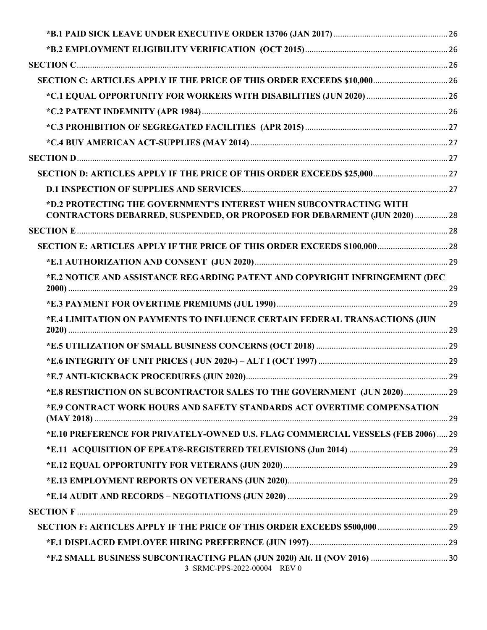| SECTION C: ARTICLES APPLY IF THE PRICE OF THIS ORDER EXCEEDS \$10,000 26         |  |
|----------------------------------------------------------------------------------|--|
|                                                                                  |  |
|                                                                                  |  |
|                                                                                  |  |
|                                                                                  |  |
|                                                                                  |  |
| SECTION D: ARTICLES APPLY IF THE PRICE OF THIS ORDER EXCEEDS \$25,000 27         |  |
|                                                                                  |  |
| *D.2 PROTECTING THE GOVERNMENT'S INTEREST WHEN SUBCONTRACTING WITH               |  |
| <b>CONTRACTORS DEBARRED, SUSPENDED, OR PROPOSED FOR DEBARMENT (JUN 2020)  28</b> |  |
|                                                                                  |  |
| SECTION E: ARTICLES APPLY IF THE PRICE OF THIS ORDER EXCEEDS \$100,000  28       |  |
|                                                                                  |  |
| *E.2 NOTICE AND ASSISTANCE REGARDING PATENT AND COPYRIGHT INFRINGEMENT (DEC      |  |
|                                                                                  |  |
| *E.4 LIMITATION ON PAYMENTS TO INFLUENCE CERTAIN FEDERAL TRANSACTIONS (JUN       |  |
|                                                                                  |  |
|                                                                                  |  |
|                                                                                  |  |
| *E.8 RESTRICTION ON SUBCONTRACTOR SALES TO THE GOVERNMENT (JUN 2020) 29          |  |
| *E.9 CONTRACT WORK HOURS AND SAFETY STANDARDS ACT OVERTIME COMPENSATION          |  |
| *E.10 PREFERENCE FOR PRIVATELY-OWNED U.S. FLAG COMMERCIAL VESSELS (FEB 2006) 29  |  |
|                                                                                  |  |
|                                                                                  |  |
|                                                                                  |  |
|                                                                                  |  |
|                                                                                  |  |
| SECTION F: ARTICLES APPLY IF THE PRICE OF THIS ORDER EXCEEDS \$500,000  29       |  |
|                                                                                  |  |
| 3 SRMC-PPS-2022-00004 REV 0                                                      |  |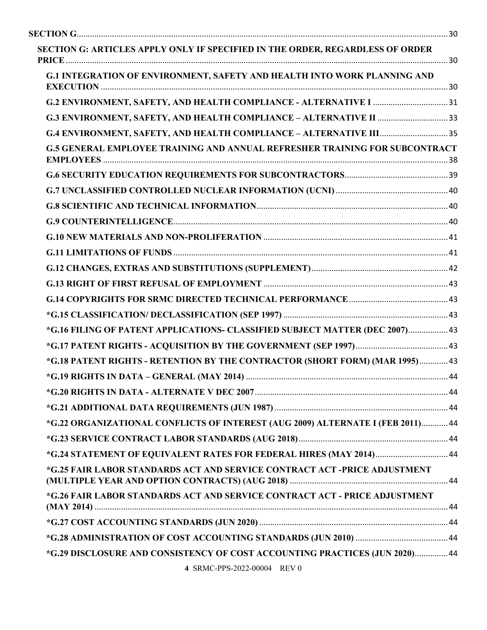| SECTION G: ARTICLES APPLY ONLY IF SPECIFIED IN THE ORDER, REGARDLESS OF ORDER      |  |
|------------------------------------------------------------------------------------|--|
| G.1 INTEGRATION OF ENVIRONMENT, SAFETY AND HEALTH INTO WORK PLANNING AND           |  |
|                                                                                    |  |
|                                                                                    |  |
|                                                                                    |  |
| <b>G.5 GENERAL EMPLOYEE TRAINING AND ANNUAL REFRESHER TRAINING FOR SUBCONTRACT</b> |  |
|                                                                                    |  |
|                                                                                    |  |
|                                                                                    |  |
|                                                                                    |  |
|                                                                                    |  |
|                                                                                    |  |
|                                                                                    |  |
|                                                                                    |  |
|                                                                                    |  |
|                                                                                    |  |
| *G.16 FILING OF PATENT APPLICATIONS- CLASSIFIED SUBJECT MATTER (DEC 2007) 43       |  |
|                                                                                    |  |
| *G.18 PATENT RIGHTS - RETENTION BY THE CONTRACTOR (SHORT FORM) (MAR 1995) 43       |  |
|                                                                                    |  |
|                                                                                    |  |
|                                                                                    |  |
| *G.22 ORGANIZATIONAL CONFLICTS OF INTEREST (AUG 2009) ALTERNATE I (FEB 2011) 44    |  |
|                                                                                    |  |
| *G.24 STATEMENT OF EQUIVALENT RATES FOR FEDERAL HIRES (MAY 2014) 44                |  |
| *G.25 FAIR LABOR STANDARDS ACT AND SERVICE CONTRACT ACT -PRICE ADJUSTMENT          |  |
| *G.26 FAIR LABOR STANDARDS ACT AND SERVICE CONTRACT ACT - PRICE ADJUSTMENT         |  |
|                                                                                    |  |
|                                                                                    |  |
| *G.29 DISCLOSURE AND CONSISTENCY OF COST ACCOUNTING PRACTICES (JUN 2020) 44        |  |
|                                                                                    |  |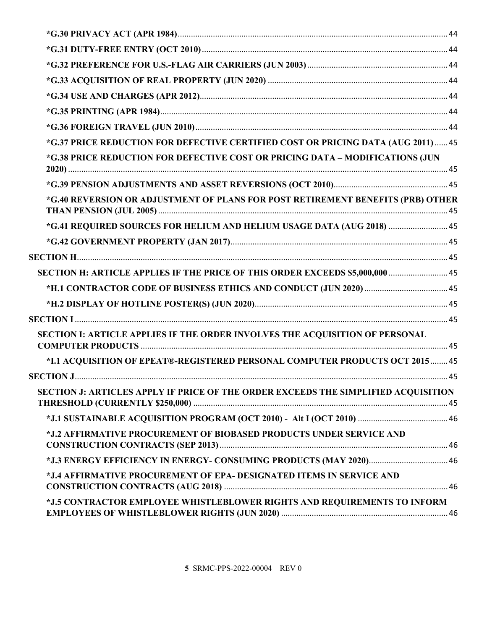| *G.37 PRICE REDUCTION FOR DEFECTIVE CERTIFIED COST OR PRICING DATA (AUG 2011)  45  |  |
|------------------------------------------------------------------------------------|--|
| *G.38 PRICE REDUCTION FOR DEFECTIVE COST OR PRICING DATA - MODIFICATIONS (JUN      |  |
|                                                                                    |  |
| *G.40 REVERSION OR ADJUSTMENT OF PLANS FOR POST RETIREMENT BENEFITS (PRB) OTHER    |  |
| *G.41 REQUIRED SOURCES FOR HELIUM AND HELIUM USAGE DATA (AUG 2018)  45             |  |
|                                                                                    |  |
|                                                                                    |  |
| SECTION H: ARTICLE APPLIES IF THE PRICE OF THIS ORDER EXCEEDS \$5,000,000  45      |  |
|                                                                                    |  |
|                                                                                    |  |
|                                                                                    |  |
| SECTION I: ARTICLE APPLIES IF THE ORDER INVOLVES THE ACOUISITION OF PERSONAL       |  |
| *I.1 ACOUISITION OF EPEAT®-REGISTERED PERSONAL COMPUTER PRODUCTS OCT 2015 45       |  |
|                                                                                    |  |
| SECTION J: ARTICLES APPLY IF PRICE OF THE ORDER EXCEEDS THE SIMPLIFIED ACQUISITION |  |
|                                                                                    |  |
| *J.2 AFFIRMATIVE PROCUREMENT OF BIOBASED PRODUCTS UNDER SERVICE AND                |  |
|                                                                                    |  |
| *J.4 AFFIRMATIVE PROCUREMENT OF EPA- DESIGNATED ITEMS IN SERVICE AND               |  |
| *J.5 CONTRACTOR EMPLOYEE WHISTLEBLOWER RIGHTS AND REQUIREMENTS TO INFORM           |  |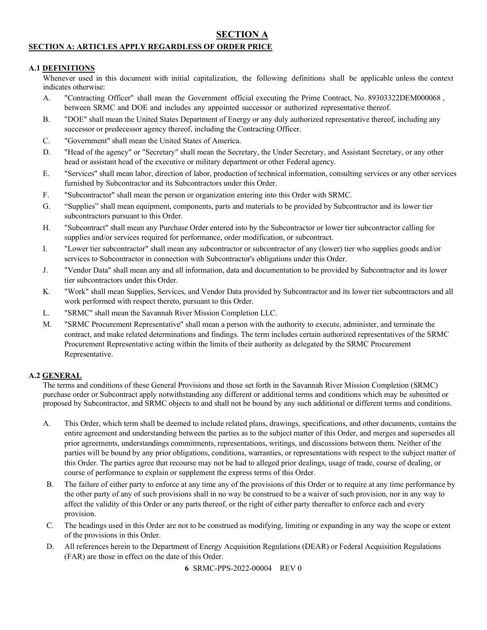# **SECTION A**

## <span id="page-5-1"></span><span id="page-5-0"></span>**SECTION A: ARTICLES APPLY REGARDLESS OF ORDER PRICE**

#### <span id="page-5-2"></span>**A.1 DEFINITIONS**

Whenever used in this document with initial capitalization, the following definitions shall be applicable unless the context indicates otherwise:

- A. "Contracting Officer" shall mean the Government official executing the Prime Contract, No. 89303322DEM000068 , between SRMC and DOE and includes any appointed successor or authorized representative thereof.
- B. "DOE" shall mean the United States Department of Energy or any duly authorized representative thereof, including any successor or predecessor agency thereof, including the Contracting Officer.
- C. "Government" shall mean the United States of America.
- D. "Head of the agency" or "Secretary" shall mean the Secretary, the Under Secretary, and Assistant Secretary, or any other head or assistant head of the executive or military department or other Federal agency.
- E. "Services" shall mean labor, direction of labor, production of technical information, consulting services or any other services furnished by Subcontractor and its Subcontractors under this Order.
- F. "Subcontractor" shall mean the person or organization entering into this Order with SRMC.
- G. "Supplies" shall mean equipment, components, parts and materials to be provided by Subcontractor and its lower tier subcontractors pursuant to this Order.
- H. "Subcontract" shall mean any Purchase Order entered into by the Subcontractor or lower tier subcontractor calling for supplies and/or services required for performance, order modification, or subcontract.
- I. "Lower tier subcontractor" shall mean any subcontractor or subcontractor of any (lower) tier who supplies goods and/or services to Subcontractor in connection with Subcontractor's obligations under this Order.
- J. "Vendor Data" shall mean any and all information, data and documentation to be provided by Subcontractor and its lower tier subcontractors under this Order.
- K. "Work" shall mean Supplies, Services, and Vendor Data provided by Subcontractor and its lower tier subcontractors and all work performed with respect thereto, pursuant to this Order.
- L. "SRMC" shall mean the Savannah River Mission Completion LLC.
- M. "SRMC Procurement Representative" shall mean a person with the authority to execute, administer, and terminate the contract, and make related determinations and findings. The term includes certain authorized representatives of the SRMC Procurement Representative acting within the limits of their authority as delegated by the SRMC Procurement Representative.

#### <span id="page-5-3"></span>**A.2 GENERAL**

The terms and conditions of these General Provisions and those set forth in the Savannah River Mission Completion (SRMC) purchase order or Subcontract apply notwithstanding any different or additional terms and conditions which may be submitted or proposed by Subcontractor, and SRMC objects to and shall not be bound by any such additional or different terms and conditions.

- A. This Order, which term shall be deemed to include related plans, drawings, specifications, and other documents, contains the entire agreement and understanding between the parties as to the subject matter of this Order, and merges and supersedes all prior agreements, understandings commitments, representations, writings, and discussions between them. Neither of the parties will be bound by any prior obligations, conditions, warranties, or representations with respect to the subject matter of this Order. The parties agree that recourse may not be had to alleged prior dealings, usage of trade, course of dealing, or course of performance to explain or supplement the express terms of this Order.
- B. The failure of either party to enforce at any time any of the provisions of this Order or to require at any time performance by the other party of any of such provisions shall in no way be construed to be a waiver of such provision, nor in any way to affect the validity of this Order or any parts thereof, or the right of either party thereafter to enforce each and every provision.
- C. The headings used in this Order are not to be construed as modifying, limiting or expanding in any way the scope or extent of the provisions in this Order.
- D. All references herein to the Department of Energy Acquisition Regulations (DEAR) or Federal Acquisition Regulations (FAR) are those in effect on the date of this Order.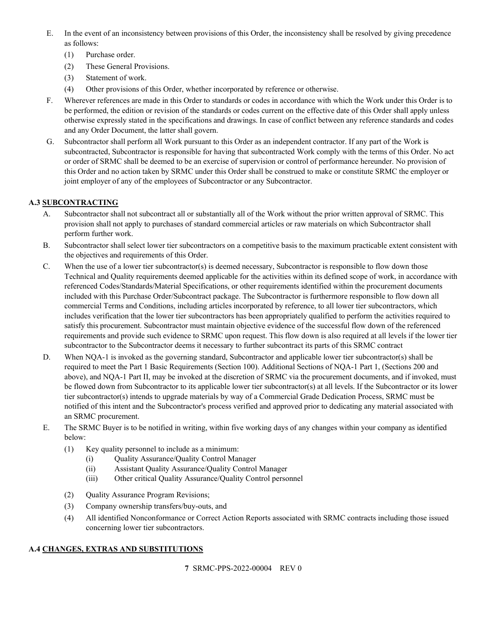- E. In the event of an inconsistency between provisions of this Order, the inconsistency shall be resolved by giving precedence as follows:
	- (1) Purchase order.
	- (2) These General Provisions.
	- (3) Statement of work.
	- (4) Other provisions of this Order, whether incorporated by reference or otherwise.
- F. Wherever references are made in this Order to standards or codes in accordance with which the Work under this Order is to be performed, the edition or revision of the standards or codes current on the effective date of this Order shall apply unless otherwise expressly stated in the specifications and drawings. In case of conflict between any reference standards and codes and any Order Document, the latter shall govern.
- G. Subcontractor shall perform all Work pursuant to this Order as an independent contractor. If any part of the Work is subcontracted, Subcontractor is responsible for having that subcontracted Work comply with the terms of this Order. No act or order of SRMC shall be deemed to be an exercise of supervision or control of performance hereunder. No provision of this Order and no action taken by SRMC under this Order shall be construed to make or constitute SRMC the employer or joint employer of any of the employees of Subcontractor or any Subcontractor.

# <span id="page-6-0"></span>**A.3 SUBCONTRACTING**

- A. Subcontractor shall not subcontract all or substantially all of the Work without the prior written approval of SRMC. This provision shall not apply to purchases of standard commercial articles or raw materials on which Subcontractor shall perform further work.
- B. Subcontractor shall select lower tier subcontractors on a competitive basis to the maximum practicable extent consistent with the objectives and requirements of this Order.
- C. When the use of a lower tier subcontractor(s) is deemed necessary, Subcontractor is responsible to flow down those Technical and Quality requirements deemed applicable for the activities within its defined scope of work, in accordance with referenced Codes/Standards/Material Specifications, or other requirements identified within the procurement documents included with this Purchase Order/Subcontract package. The Subcontractor is furthermore responsible to flow down all commercial Terms and Conditions, including articles incorporated by reference, to all lower tier subcontractors, which includes verification that the lower tier subcontractors has been appropriately qualified to perform the activities required to satisfy this procurement. Subcontractor must maintain objective evidence of the successful flow down of the referenced requirements and provide such evidence to SRMC upon request. This flow down is also required at all levels if the lower tier subcontractor to the Subcontractor deems it necessary to further subcontract its parts of this SRMC contract
- D. When NQA-1 is invoked as the governing standard, Subcontractor and applicable lower tier subcontractor(s) shall be required to meet the Part 1 Basic Requirements (Section 100). Additional Sections of NQA-1 Part 1, (Sections 200 and above), and NQA-1 Part II, may be invoked at the discretion of SRMC via the procurement documents, and if invoked, must be flowed down from Subcontractor to its applicable lower tier subcontractor(s) at all levels. If the Subcontractor or its lower tier subcontractor(s) intends to upgrade materials by way of a Commercial Grade Dedication Process, SRMC must be notified of this intent and the Subcontractor's process verified and approved prior to dedicating any material associated with an SRMC procurement.
- E. The SRMC Buyer is to be notified in writing, within five working days of any changes within your company as identified below:
	- (1) Key quality personnel to include as a minimum:
		- (i) Quality Assurance/Quality Control Manager
		- (ii) Assistant Quality Assurance/Quality Control Manager
		- (iii) Other critical Quality Assurance/Quality Control personnel
	- (2) Quality Assurance Program Revisions;
	- (3) Company ownership transfers/buy-outs, and
	- (4) All identified Nonconformance or Correct Action Reports associated with SRMC contracts including those issued concerning lower tier subcontractors.

## <span id="page-6-1"></span>**A.4 CHANGES, EXTRAS AND SUBSTITUTIONS**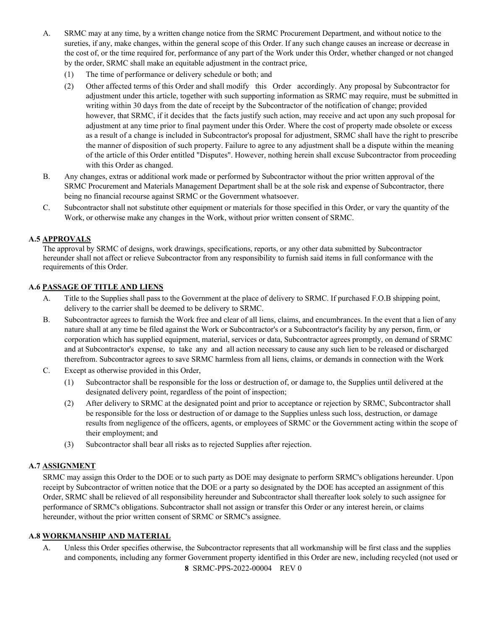- A. SRMC may at any time, by a written change notice from the SRMC Procurement Department, and without notice to the sureties, if any, make changes, within the general scope of this Order. If any such change causes an increase or decrease in the cost of, or the time required for, performance of any part of the Work under this Order, whether changed or not changed by the order, SRMC shall make an equitable adjustment in the contract price,
	- (1) The time of performance or delivery schedule or both; and
	- (2) Other affected terms of this Order and shall modify this Order accordingly. Any proposal by Subcontractor for adjustment under this article, together with such supporting information as SRMC may require, must be submitted in writing within 30 days from the date of receipt by the Subcontractor of the notification of change; provided however, that SRMC, if it decides that the facts justify such action, may receive and act upon any such proposal for adjustment at any time prior to final payment under this Order. Where the cost of property made obsolete or excess as a result of a change is included in Subcontractor's proposal for adjustment, SRMC shall have the right to prescribe the manner of disposition of such property. Failure to agree to any adjustment shall be a dispute within the meaning of the article of this Order entitled "Disputes". However, nothing herein shall excuse Subcontractor from proceeding with this Order as changed.
- B. Any changes, extras or additional work made or performed by Subcontractor without the prior written approval of the SRMC Procurement and Materials Management Department shall be at the sole risk and expense of Subcontractor, there being no financial recourse against SRMC or the Government whatsoever.
- C. Subcontractor shall not substitute other equipment or materials for those specified in this Order, or vary the quantity of the Work, or otherwise make any changes in the Work, without prior written consent of SRMC.

## <span id="page-7-0"></span>**A.5 APPROVALS**

The approval by SRMC of designs, work drawings, specifications, reports, or any other data submitted by Subcontractor hereunder shall not affect or relieve Subcontractor from any responsibility to furnish said items in full conformance with the requirements of this Order.

## <span id="page-7-1"></span>**A.6 PASSAGE OF TITLE AND LIENS**

- A. Title to the Supplies shall pass to the Government at the place of delivery to SRMC. If purchased F.O.B shipping point, delivery to the carrier shall be deemed to be delivery to SRMC.
- B. Subcontractor agrees to furnish the Work free and clear of all liens, claims, and encumbrances. In the event that a lien of any nature shall at any time be filed against the Work or Subcontractor's or a Subcontractor's facility by any person, firm, or corporation which has supplied equipment, material, services or data, Subcontractor agrees promptly, on demand of SRMC and at Subcontractor's expense, to take any and all action necessary to cause any such lien to be released or discharged therefrom. Subcontractor agrees to save SRMC harmless from all liens, claims, or demands in connection with the Work
- C. Except as otherwise provided in this Order,
	- (1) Subcontractor shall be responsible for the loss or destruction of, or damage to, the Supplies until delivered at the designated delivery point, regardless of the point of inspection;
	- (2) After delivery to SRMC at the designated point and prior to acceptance or rejection by SRMC, Subcontractor shall be responsible for the loss or destruction of or damage to the Supplies unless such loss, destruction, or damage results from negligence of the officers, agents, or employees of SRMC or the Government acting within the scope of their employment; and
	- (3) Subcontractor shall bear all risks as to rejected Supplies after rejection.

## <span id="page-7-2"></span>**A.7 ASSIGNMENT**

SRMC may assign this Order to the DOE or to such party as DOE may designate to perform SRMC's obligations hereunder. Upon receipt by Subcontractor of written notice that the DOE or a party so designated by the DOE has accepted an assignment of this Order, SRMC shall be relieved of all responsibility hereunder and Subcontractor shall thereafter look solely to such assignee for performance of SRMC's obligations. Subcontractor shall not assign or transfer this Order or any interest herein, or claims hereunder, without the prior written consent of SRMC or SRMC's assignee.

#### <span id="page-7-3"></span>**A.8 WORKMANSHIP AND MATERIAL**

**8** SRMC-PPS-2022-00004 REV 0 A. Unless this Order specifies otherwise, the Subcontractor represents that all workmanship will be first class and the supplies and components, including any former Government property identified in this Order are new, including recycled (not used or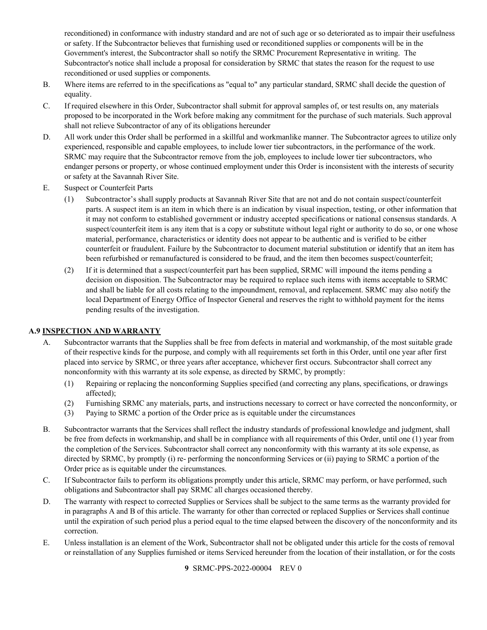reconditioned) in conformance with industry standard and are not of such age or so deteriorated as to impair their usefulness or safety. If the Subcontractor believes that furnishing used or reconditioned supplies or components will be in the Government's interest, the Subcontractor shall so notify the SRMC Procurement Representative in writing. The Subcontractor's notice shall include a proposal for consideration by SRMC that states the reason for the request to use reconditioned or used supplies or components.

- B. Where items are referred to in the specifications as "equal to" any particular standard, SRMC shall decide the question of equality.
- C. If required elsewhere in this Order, Subcontractor shall submit for approval samples of, or test results on, any materials proposed to be incorporated in the Work before making any commitment for the purchase of such materials. Such approval shall not relieve Subcontractor of any of its obligations hereunder
- D. All work under this Order shall be performed in a skillful and workmanlike manner. The Subcontractor agrees to utilize only experienced, responsible and capable employees, to include lower tier subcontractors, in the performance of the work. SRMC may require that the Subcontractor remove from the job, employees to include lower tier subcontractors, who endanger persons or property, or whose continued employment under this Order is inconsistent with the interests of security or safety at the Savannah River Site.
- E. Suspect or Counterfeit Parts
	- (1) Subcontractor's shall supply products at Savannah River Site that are not and do not contain suspect/counterfeit parts. A suspect item is an item in which there is an indication by visual inspection, testing, or other information that it may not conform to established government or industry accepted specifications or national consensus standards. A suspect/counterfeit item is any item that is a copy or substitute without legal right or authority to do so, or one whose material, performance, characteristics or identity does not appear to be authentic and is verified to be either counterfeit or fraudulent. Failure by the Subcontractor to document material substitution or identify that an item has been refurbished or remanufactured is considered to be fraud, and the item then becomes suspect/counterfeit;
	- (2) If it is determined that a suspect/counterfeit part has been supplied, SRMC will impound the items pending a decision on disposition. The Subcontractor may be required to replace such items with items acceptable to SRMC and shall be liable for all costs relating to the impoundment, removal, and replacement. SRMC may also notify the local Department of Energy Office of Inspector General and reserves the right to withhold payment for the items pending results of the investigation.

## <span id="page-8-0"></span>**A.9 INSPECTION AND WARRANTY**

- A. Subcontractor warrants that the Supplies shall be free from defects in material and workmanship, of the most suitable grade of their respective kinds for the purpose, and comply with all requirements set forth in this Order, until one year after first placed into service by SRMC, or three years after acceptance, whichever first occurs. Subcontractor shall correct any nonconformity with this warranty at its sole expense, as directed by SRMC, by promptly:
	- (1) Repairing or replacing the nonconforming Supplies specified (and correcting any plans, specifications, or drawings affected);
	- (2) Furnishing SRMC any materials, parts, and instructions necessary to correct or have corrected the nonconformity, or
	- (3) Paying to SRMC a portion of the Order price as is equitable under the circumstances
- B. Subcontractor warrants that the Services shall reflect the industry standards of professional knowledge and judgment, shall be free from defects in workmanship, and shall be in compliance with all requirements of this Order, until one (1) year from the completion of the Services. Subcontractor shall correct any nonconformity with this warranty at its sole expense, as directed by SRMC, by promptly (i) re- performing the nonconforming Services or (ii) paying to SRMC a portion of the Order price as is equitable under the circumstances.
- C. If Subcontractor fails to perform its obligations promptly under this article, SRMC may perform, or have performed, such obligations and Subcontractor shall pay SRMC all charges occasioned thereby.
- D. The warranty with respect to corrected Supplies or Services shall be subject to the same terms as the warranty provided for in paragraphs A and B of this article. The warranty for other than corrected or replaced Supplies or Services shall continue until the expiration of such period plus a period equal to the time elapsed between the discovery of the nonconformity and its correction.
- E. Unless installation is an element of the Work, Subcontractor shall not be obligated under this article for the costs of removal or reinstallation of any Supplies furnished or items Serviced hereunder from the location of their installation, or for the costs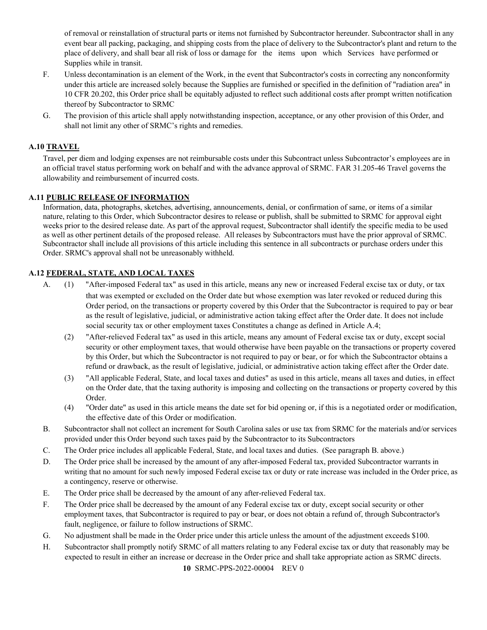of removal or reinstallation of structural parts or items not furnished by Subcontractor hereunder. Subcontractor shall in any event bear all packing, packaging, and shipping costs from the place of delivery to the Subcontractor's plant and return to the place of delivery, and shall bear all risk of loss or damage for the items upon which Services have performed or Supplies while in transit.

- F. Unless decontamination is an element of the Work, in the event that Subcontractor's costs in correcting any nonconformity under this article are increased solely because the Supplies are furnished or specified in the definition of "radiation area" in 10 CFR 20.202, this Order price shall be equitably adjusted to reflect such additional costs after prompt written notification thereof by Subcontractor to SRMC
- G. The provision of this article shall apply notwithstanding inspection, acceptance, or any other provision of this Order, and shall not limit any other of SRMC's rights and remedies.

## <span id="page-9-0"></span>**A.10 TRAVEL**

Travel, per diem and lodging expenses are not reimbursable costs under this Subcontract unless Subcontractor's employees are in an official travel status performing work on behalf and with the advance approval of SRMC. FAR 31.205-46 Travel governs the allowability and reimbursement of incurred costs.

## <span id="page-9-1"></span>**A.11 PUBLIC RELEASE OF INFORMATION**

Information, data, photographs, sketches, advertising, announcements, denial, or confirmation of same, or items of a similar nature, relating to this Order, which Subcontractor desires to release or publish, shall be submitted to SRMC for approval eight weeks prior to the desired release date. As part of the approval request, Subcontractor shall identify the specific media to be used as well as other pertinent details of the proposed release. All releases by Subcontractors must have the prior approval of SRMC. Subcontractor shall include all provisions of this article including this sentence in all subcontracts or purchase orders under this Order. SRMC's approval shall not be unreasonably withheld.

# <span id="page-9-2"></span>**A.12 FEDERAL, STATE, AND LOCAL TAXES**

- A. (1) "After-imposed Federal tax" as used in this article, means any new or increased Federal excise tax or duty, or tax that was exempted or excluded on the Order date but whose exemption was later revoked or reduced during this Order period, on the transactions or property covered by this Order that the Subcontractor is required to pay or bear as the result of legislative, judicial, or administrative action taking effect after the Order date. It does not include social security tax or other employment taxes Constitutes a change as defined in Article A.4;
	- (2) "After-relieved Federal tax" as used in this article, means any amount of Federal excise tax or duty, except social security or other employment taxes, that would otherwise have been payable on the transactions or property covered by this Order, but which the Subcontractor is not required to pay or bear, or for which the Subcontractor obtains a refund or drawback, as the result of legislative, judicial, or administrative action taking effect after the Order date.
	- (3) "All applicable Federal, State, and local taxes and duties" as used in this article, means all taxes and duties, in effect on the Order date, that the taxing authority is imposing and collecting on the transactions or property covered by this Order.
	- (4) "Order date" as used in this article means the date set for bid opening or, if this is a negotiated order or modification, the effective date of this Order or modification.
- B. Subcontractor shall not collect an increment for South Carolina sales or use tax from SRMC for the materials and/or services provided under this Order beyond such taxes paid by the Subcontractor to its Subcontractors
- C. The Order price includes all applicable Federal, State, and local taxes and duties. (See paragraph B. above.)
- D. The Order price shall be increased by the amount of any after-imposed Federal tax, provided Subcontractor warrants in writing that no amount for such newly imposed Federal excise tax or duty or rate increase was included in the Order price, as a contingency, reserve or otherwise.
- E. The Order price shall be decreased by the amount of any after-relieved Federal tax.
- F. The Order price shall be decreased by the amount of any Federal excise tax or duty, except social security or other employment taxes, that Subcontractor is required to pay or bear, or does not obtain a refund of, through Subcontractor's fault, negligence, or failure to follow instructions of SRMC.
- G. No adjustment shall be made in the Order price under this article unless the amount of the adjustment exceeds \$100.
- H. Subcontractor shall promptly notify SRMC of all matters relating to any Federal excise tax or duty that reasonably may be expected to result in either an increase or decrease in the Order price and shall take appropriate action as SRMC directs.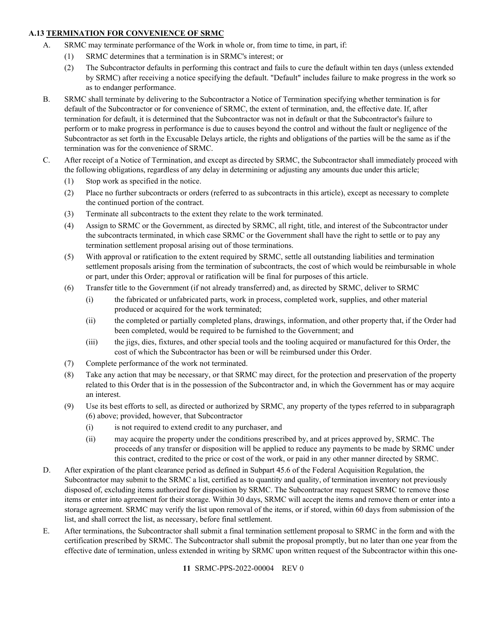## <span id="page-10-0"></span>**A.13 TERMINATION FOR CONVENIENCE OF SRMC**

- A. SRMC may terminate performance of the Work in whole or, from time to time, in part, if:
	- (1) SRMC determines that a termination is in SRMC's interest; or
	- (2) The Subcontractor defaults in performing this contract and fails to cure the default within ten days (unless extended by SRMC) after receiving a notice specifying the default. "Default" includes failure to make progress in the work so as to endanger performance.
- B. SRMC shall terminate by delivering to the Subcontractor a Notice of Termination specifying whether termination is for default of the Subcontractor or for convenience of SRMC, the extent of termination, and, the effective date. If, after termination for default, it is determined that the Subcontractor was not in default or that the Subcontractor's failure to perform or to make progress in performance is due to causes beyond the control and without the fault or negligence of the Subcontractor as set forth in the Excusable Delays article, the rights and obligations of the parties will be the same as if the termination was for the convenience of SRMC.
- C. After receipt of a Notice of Termination, and except as directed by SRMC, the Subcontractor shall immediately proceed with the following obligations, regardless of any delay in determining or adjusting any amounts due under this article;
	- (1) Stop work as specified in the notice.
	- (2) Place no further subcontracts or orders (referred to as subcontracts in this article), except as necessary to complete the continued portion of the contract.
	- (3) Terminate all subcontracts to the extent they relate to the work terminated.
	- (4) Assign to SRMC or the Government, as directed by SRMC, all right, title, and interest of the Subcontractor under the subcontracts terminated, in which case SRMC or the Government shall have the right to settle or to pay any termination settlement proposal arising out of those terminations.
	- (5) With approval or ratification to the extent required by SRMC, settle all outstanding liabilities and termination settlement proposals arising from the termination of subcontracts, the cost of which would be reimbursable in whole or part, under this Order; approval or ratification will be final for purposes of this article.
	- (6) Transfer title to the Government (if not already transferred) and, as directed by SRMC, deliver to SRMC
		- (i) the fabricated or unfabricated parts, work in process, completed work, supplies, and other material produced or acquired for the work terminated;
		- (ii) the completed or partially completed plans, drawings, information, and other property that, if the Order had been completed, would be required to be furnished to the Government; and
		- (iii) the jigs, dies, fixtures, and other special tools and the tooling acquired or manufactured for this Order, the cost of which the Subcontractor has been or will be reimbursed under this Order.
	- (7) Complete performance of the work not terminated.
	- (8) Take any action that may be necessary, or that SRMC may direct, for the protection and preservation of the property related to this Order that is in the possession of the Subcontractor and, in which the Government has or may acquire an interest.
	- (9) Use its best efforts to sell, as directed or authorized by SRMC, any property of the types referred to in subparagraph (6) above; provided, however, that Subcontractor
		- (i) is not required to extend credit to any purchaser, and
		- (ii) may acquire the property under the conditions prescribed by, and at prices approved by, SRMC. The proceeds of any transfer or disposition will be applied to reduce any payments to be made by SRMC under this contract, credited to the price or cost of the work, or paid in any other manner directed by SRMC.
- D. After expiration of the plant clearance period as defined in Subpart 45.6 of the Federal Acquisition Regulation, the Subcontractor may submit to the SRMC a list, certified as to quantity and quality, of termination inventory not previously disposed of, excluding items authorized for disposition by SRMC. The Subcontractor may request SRMC to remove those items or enter into agreement for their storage. Within 30 days, SRMC will accept the items and remove them or enter into a storage agreement. SRMC may verify the list upon removal of the items, or if stored, within 60 days from submission of the list, and shall correct the list, as necessary, before final settlement.
- E. After terminations, the Subcontractor shall submit a final termination settlement proposal to SRMC in the form and with the certification prescribed by SRMC. The Subcontractor shall submit the proposal promptly, but no later than one year from the effective date of termination, unless extended in writing by SRMC upon written request of the Subcontractor within this one-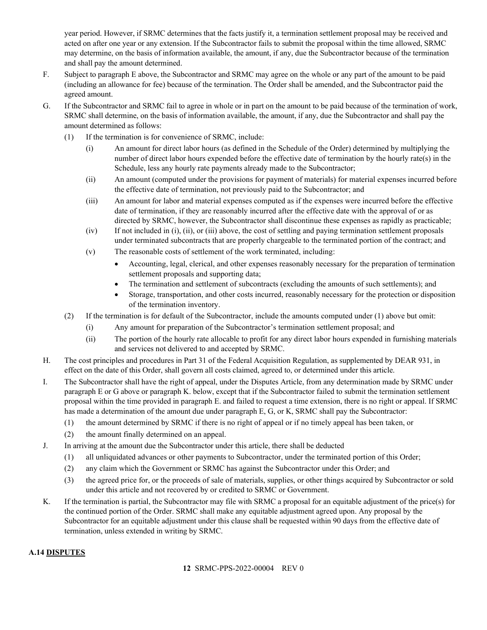year period. However, if SRMC determines that the facts justify it, a termination settlement proposal may be received and acted on after one year or any extension. If the Subcontractor fails to submit the proposal within the time allowed, SRMC may determine, on the basis of information available, the amount, if any, due the Subcontractor because of the termination and shall pay the amount determined.

- F. Subject to paragraph E above, the Subcontractor and SRMC may agree on the whole or any part of the amount to be paid (including an allowance for fee) because of the termination. The Order shall be amended, and the Subcontractor paid the agreed amount.
- G. If the Subcontractor and SRMC fail to agree in whole or in part on the amount to be paid because of the termination of work, SRMC shall determine, on the basis of information available, the amount, if any, due the Subcontractor and shall pay the amount determined as follows:
	- (1) If the termination is for convenience of SRMC, include:
		- (i) An amount for direct labor hours (as defined in the Schedule of the Order) determined by multiplying the number of direct labor hours expended before the effective date of termination by the hourly rate(s) in the Schedule, less any hourly rate payments already made to the Subcontractor;
		- (ii) An amount (computed under the provisions for payment of materials) for material expenses incurred before the effective date of termination, not previously paid to the Subcontractor; and
		- (iii) An amount for labor and material expenses computed as if the expenses were incurred before the effective date of termination, if they are reasonably incurred after the effective date with the approval of or as directed by SRMC, however, the Subcontractor shall discontinue these expenses as rapidly as practicable;
		- (iv) If not included in (i), (ii), or (iii) above, the cost of settling and paying termination settlement proposals under terminated subcontracts that are properly chargeable to the terminated portion of the contract; and
		- (v) The reasonable costs of settlement of the work terminated, including:
			- Accounting, legal, clerical, and other expenses reasonably necessary for the preparation of termination settlement proposals and supporting data;
			- The termination and settlement of subcontracts (excluding the amounts of such settlements); and
			- Storage, transportation, and other costs incurred, reasonably necessary for the protection or disposition of the termination inventory.
	- (2) If the termination is for default of the Subcontractor, include the amounts computed under (1) above but omit:
		- (i) Any amount for preparation of the Subcontractor's termination settlement proposal; and
		- (ii) The portion of the hourly rate allocable to profit for any direct labor hours expended in furnishing materials and services not delivered to and accepted by SRMC.
- H. The cost principles and procedures in Part 31 of the Federal Acquisition Regulation, as supplemented by DEAR 931, in effect on the date of this Order, shall govern all costs claimed, agreed to, or determined under this article.
- I. The Subcontractor shall have the right of appeal, under the Disputes Article, from any determination made by SRMC under paragraph E or G above or paragraph K. below, except that if the Subcontractor failed to submit the termination settlement proposal within the time provided in paragraph E. and failed to request a time extension, there is no right or appeal. If SRMC has made a determination of the amount due under paragraph E, G, or K, SRMC shall pay the Subcontractor:
	- (1) the amount determined by SRMC if there is no right of appeal or if no timely appeal has been taken, or
	- (2) the amount finally determined on an appeal.
- J. In arriving at the amount due the Subcontractor under this article, there shall be deducted
	- (1) all unliquidated advances or other payments to Subcontractor, under the terminated portion of this Order;
	- (2) any claim which the Government or SRMC has against the Subcontractor under this Order; and
	- (3) the agreed price for, or the proceeds of sale of materials, supplies, or other things acquired by Subcontractor or sold under this article and not recovered by or credited to SRMC or Government.
- K. If the termination is partial, the Subcontractor may file with SRMC a proposal for an equitable adjustment of the price(s) for the continued portion of the Order. SRMC shall make any equitable adjustment agreed upon. Any proposal by the Subcontractor for an equitable adjustment under this clause shall be requested within 90 days from the effective date of termination, unless extended in writing by SRMC.

## <span id="page-11-0"></span>**A.14 DISPUTES**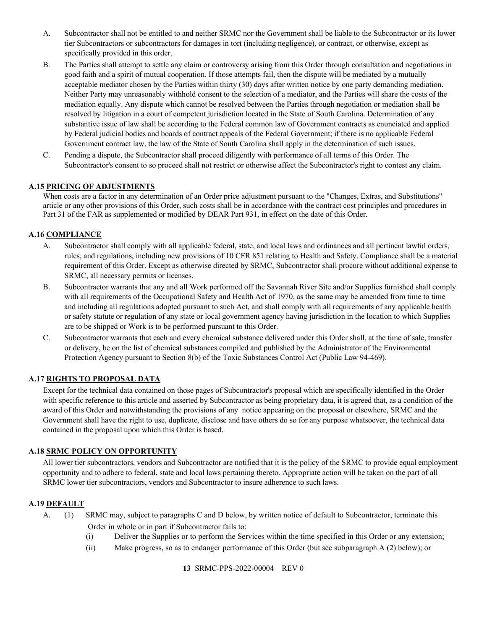- A. Subcontractor shall not be entitled to and neither SRMC nor the Government shall be liable to the Subcontractor or its lower tier Subcontractors or subcontractors for damages in tort (including negligence), or contract, or otherwise, except as specifically provided in this order.
- B. The Parties shall attempt to settle any claim or controversy arising from this Order through consultation and negotiations in good faith and a spirit of mutual cooperation. If those attempts fail, then the dispute will be mediated by a mutually acceptable mediator chosen by the Parties within thirty (30) days after written notice by one party demanding mediation. Neither Party may unreasonably withhold consent to the selection of a mediator, and the Parties will share the costs of the mediation equally. Any dispute which cannot be resolved between the Parties through negotiation or mediation shall be resolved by litigation in a court of competent jurisdiction located in the State of South Carolina. Determination of any substantive issue of law shall be according to the Federal common law of Government contracts as enunciated and applied by Federal judicial bodies and boards of contract appeals of the Federal Government; if there is no applicable Federal Government contract law, the law of the State of South Carolina shall apply in the determination of such issues.
- C. Pending a dispute, the Subcontractor shall proceed diligently with performance of all terms of this Order. The Subcontractor's consent to so proceed shall not restrict or otherwise affect the Subcontractor's right to contest any claim.

## <span id="page-12-0"></span>**A.15 PRICING OF ADJUSTMENTS**

When costs are a factor in any determination of an Order price adjustment pursuant to the "Changes, Extras, and Substitutions" article or any other provisions of this Order, such costs shall be in accordance with the contract cost principles and procedures in Part 31 of the FAR as supplemented or modified by DEAR Part 931, in effect on the date of this Order.

## <span id="page-12-1"></span>**A.16 COMPLIANCE**

- A. Subcontractor shall comply with all applicable federal, state, and local laws and ordinances and all pertinent lawful orders, rules, and regulations, including new provisions of 10 CFR 851 relating to Health and Safety. Compliance shall be a material requirement of this Order. Except as otherwise directed by SRMC, Subcontractor shall procure without additional expense to SRMC, all necessary permits or licenses.
- B. Subcontractor warrants that any and all Work performed off the Savannah River Site and/or Supplies furnished shall comply with all requirements of the Occupational Safety and Health Act of 1970, as the same may be amended from time to time and including all regulations adopted pursuant to such Act, and shall comply with all requirements of any applicable health or safety statute or regulation of any state or local government agency having jurisdiction in the location to which Supplies are to be shipped or Work is to be performed pursuant to this Order.
- C. Subcontractor warrants that each and every chemical substance delivered under this Order shall, at the time of sale, transfer or delivery, be on the list of chemical substances compiled and published by the Administrator of the Environmental Protection Agency pursuant to Section 8(b) of the Toxic Substances Control Act (Public Law 94-469).

#### <span id="page-12-2"></span>**A.17 RIGHTS TO PROPOSAL DATA**

Except for the technical data contained on those pages of Subcontractor's proposal which are specifically identified in the Order with specific reference to this article and asserted by Subcontractor as being proprietary data, it is agreed that, as a condition of the award of this Order and notwithstanding the provisions of any notice appearing on the proposal or elsewhere, SRMC and the Government shall have the right to use, duplicate, disclose and have others do so for any purpose whatsoever, the technical data contained in the proposal upon which this Order is based.

#### <span id="page-12-3"></span>**A.18 SRMC POLICY ON OPPORTUNITY**

All lower tier subcontractors, vendors and Subcontractor are notified that it is the policy of the SRMC to provide equal employment opportunity and to adhere to federal, state and local laws pertaining thereto. Appropriate action will be taken on the part of all SRMC lower tier subcontractors, vendors and Subcontractor to insure adherence to such laws.

#### <span id="page-12-4"></span>**A.19 DEFAULT**

- A. (1) SRMC may, subject to paragraphs C and D below, by written notice of default to Subcontractor, terminate this Order in whole or in part if Subcontractor fails to:
	- (i) Deliver the Supplies or to perform the Services within the time specified in this Order or any extension;
	- (ii) Make progress, so as to endanger performance of this Order (but see subparagraph A (2) below); or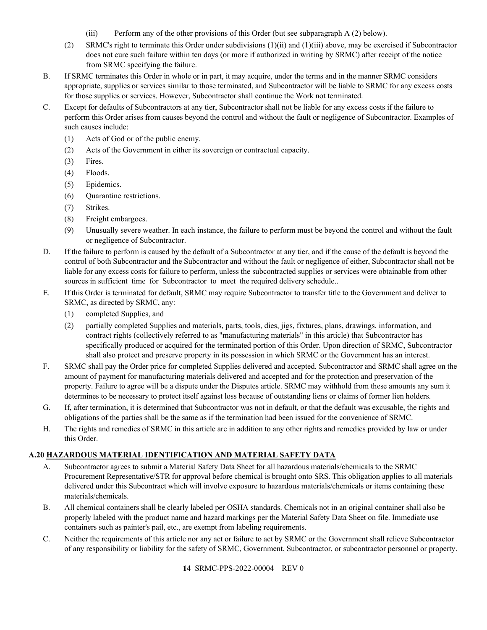- (iii) Perform any of the other provisions of this Order (but see subparagraph A (2) below).
- (2) SRMC's right to terminate this Order under subdivisions (1)(ii) and (1)(iii) above, may be exercised if Subcontractor does not cure such failure within ten days (or more if authorized in writing by SRMC) after receipt of the notice from SRMC specifying the failure.
- B. If SRMC terminates this Order in whole or in part, it may acquire, under the terms and in the manner SRMC considers appropriate, supplies or services similar to those terminated, and Subcontractor will be liable to SRMC for any excess costs for those supplies or services. However, Subcontractor shall continue the Work not terminated.
- C. Except for defaults of Subcontractors at any tier, Subcontractor shall not be liable for any excess costs if the failure to perform this Order arises from causes beyond the control and without the fault or negligence of Subcontractor. Examples of such causes include:
	- (1) Acts of God or of the public enemy.
	- (2) Acts of the Government in either its sovereign or contractual capacity.
	- (3) Fires.
	- (4) Floods.
	- (5) Epidemics.
	- (6) Quarantine restrictions.
	- (7) Strikes.
	- (8) Freight embargoes.
	- (9) Unusually severe weather. In each instance, the failure to perform must be beyond the control and without the fault or negligence of Subcontractor.
- D. If the failure to perform is caused by the default of a Subcontractor at any tier, and if the cause of the default is beyond the control of both Subcontractor and the Subcontractor and without the fault or negligence of either, Subcontractor shall not be liable for any excess costs for failure to perform, unless the subcontracted supplies or services were obtainable from other sources in sufficient time for Subcontractor to meet the required delivery schedule..
- E. If this Order is terminated for default, SRMC may require Subcontractor to transfer title to the Government and deliver to SRMC, as directed by SRMC, any:
	- (1) completed Supplies, and
	- (2) partially completed Supplies and materials, parts, tools, dies, jigs, fixtures, plans, drawings, information, and contract rights (collectively referred to as "manufacturing materials" in this article) that Subcontractor has specifically produced or acquired for the terminated portion of this Order. Upon direction of SRMC, Subcontractor shall also protect and preserve property in its possession in which SRMC or the Government has an interest.
- F. SRMC shall pay the Order price for completed Supplies delivered and accepted. Subcontractor and SRMC shall agree on the amount of payment for manufacturing materials delivered and accepted and for the protection and preservation of the property. Failure to agree will be a dispute under the Disputes article. SRMC may withhold from these amounts any sum it determines to be necessary to protect itself against loss because of outstanding liens or claims of former lien holders.
- G. If, after termination, it is determined that Subcontractor was not in default, or that the default was excusable, the rights and obligations of the parties shall be the same as if the termination had been issued for the convenience of SRMC.
- H. The rights and remedies of SRMC in this article are in addition to any other rights and remedies provided by law or under this Order.

# <span id="page-13-0"></span>**A.20 HAZARDOUS MATERIAL IDENTIFICATION AND MATERIAL SAFETY DATA**

- A. Subcontractor agrees to submit a Material Safety Data Sheet for all hazardous materials/chemicals to the SRMC Procurement Representative/STR for approval before chemical is brought onto SRS. This obligation applies to all materials delivered under this Subcontract which will involve exposure to hazardous materials/chemicals or items containing these materials/chemicals.
- B. All chemical containers shall be clearly labeled per OSHA standards. Chemicals not in an original container shall also be properly labeled with the product name and hazard markings per the Material Safety Data Sheet on file. Immediate use containers such as painter's pail, etc., are exempt from labeling requirements.
- C. Neither the requirements of this article nor any act or failure to act by SRMC or the Government shall relieve Subcontractor of any responsibility or liability for the safety of SRMC, Government, Subcontractor, or subcontractor personnel or property.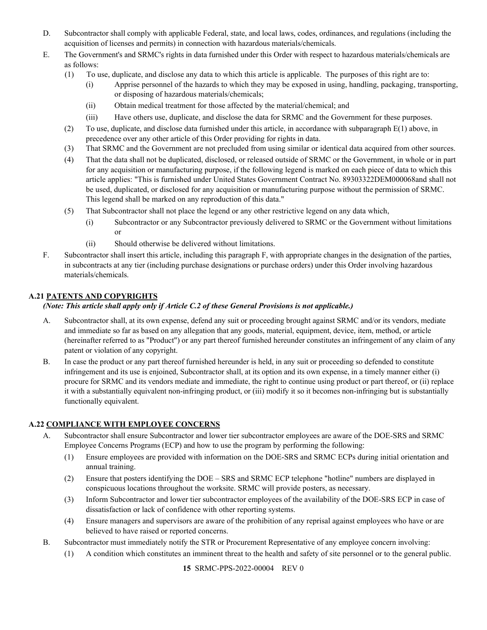- D. Subcontractor shall comply with applicable Federal, state, and local laws, codes, ordinances, and regulations (including the acquisition of licenses and permits) in connection with hazardous materials/chemicals.
- E. The Government's and SRMC's rights in data furnished under this Order with respect to hazardous materials/chemicals are as follows:
	- (1) To use, duplicate, and disclose any data to which this article is applicable. The purposes of this right are to:
		- (i) Apprise personnel of the hazards to which they may be exposed in using, handling, packaging, transporting, or disposing of hazardous materials/chemicals;
		- (ii) Obtain medical treatment for those affected by the material/chemical; and
		- (iii) Have others use, duplicate, and disclose the data for SRMC and the Government for these purposes.
	- (2) To use, duplicate, and disclose data furnished under this article, in accordance with subparagraph E(1) above, in precedence over any other article of this Order providing for rights in data.
	- (3) That SRMC and the Government are not precluded from using similar or identical data acquired from other sources.
	- (4) That the data shall not be duplicated, disclosed, or released outside of SRMC or the Government, in whole or in part for any acquisition or manufacturing purpose, if the following legend is marked on each piece of data to which this article applies: "This is furnished under United States Government Contract No. 89303322DEM000068and shall not be used, duplicated, or disclosed for any acquisition or manufacturing purpose without the permission of SRMC. This legend shall be marked on any reproduction of this data."
	- (5) That Subcontractor shall not place the legend or any other restrictive legend on any data which,
		- (i) Subcontractor or any Subcontractor previously delivered to SRMC or the Government without limitations or
		- (ii) Should otherwise be delivered without limitations.
- F. Subcontractor shall insert this article, including this paragraph F, with appropriate changes in the designation of the parties, in subcontracts at any tier (including purchase designations or purchase orders) under this Order involving hazardous materials/chemicals.

# <span id="page-14-0"></span>**A.21 PATENTS AND COPYRIGHTS**

## *(Note: This article shall apply only if Article C.2 of these General Provisions is not applicable.)*

- A. Subcontractor shall, at its own expense, defend any suit or proceeding brought against SRMC and/or its vendors, mediate and immediate so far as based on any allegation that any goods, material, equipment, device, item, method, or article (hereinafter referred to as "Product") or any part thereof furnished hereunder constitutes an infringement of any claim of any patent or violation of any copyright.
- B. In case the product or any part thereof furnished hereunder is held, in any suit or proceeding so defended to constitute infringement and its use is enjoined, Subcontractor shall, at its option and its own expense, in a timely manner either (i) procure for SRMC and its vendors mediate and immediate, the right to continue using product or part thereof, or (ii) replace it with a substantially equivalent non-infringing product, or (iii) modify it so it becomes non-infringing but is substantially functionally equivalent.

# <span id="page-14-1"></span>**A.22 COMPLIANCE WITH EMPLOYEE CONCERNS**

- A. Subcontractor shall ensure Subcontractor and lower tier subcontractor employees are aware of the DOE-SRS and SRMC Employee Concerns Programs (ECP) and how to use the program by performing the following:
	- (1) Ensure employees are provided with information on the DOE-SRS and SRMC ECPs during initial orientation and annual training.
	- (2) Ensure that posters identifying the DOE SRS and SRMC ECP telephone "hotline" numbers are displayed in conspicuous locations throughout the worksite. SRMC will provide posters, as necessary.
	- (3) Inform Subcontractor and lower tier subcontractor employees of the availability of the DOE-SRS ECP in case of dissatisfaction or lack of confidence with other reporting systems.
	- (4) Ensure managers and supervisors are aware of the prohibition of any reprisal against employees who have or are believed to have raised or reported concerns.
- B. Subcontractor must immediately notify the STR or Procurement Representative of any employee concern involving:
	- (1) A condition which constitutes an imminent threat to the health and safety of site personnel or to the general public.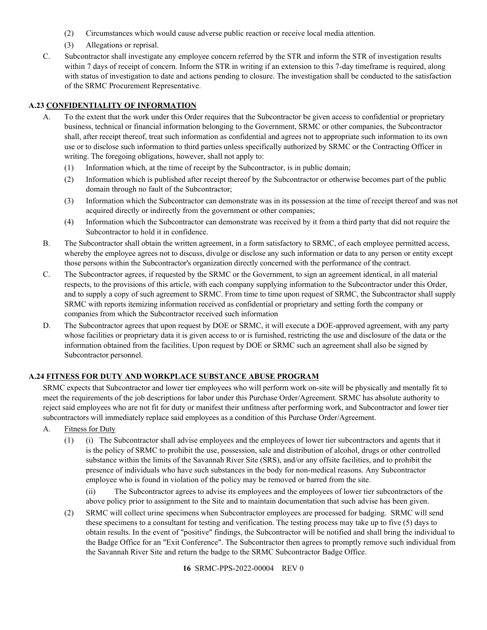- (2) Circumstances which would cause adverse public reaction or receive local media attention.
- (3) Allegations or reprisal.
- C. Subcontractor shall investigate any employee concern referred by the STR and inform the STR of investigation results within 7 days of receipt of concern. Inform the STR in writing if an extension to this 7-day timeframe is required, along with status of investigation to date and actions pending to closure. The investigation shall be conducted to the satisfaction of the SRMC Procurement Representative.

# <span id="page-15-0"></span>**A.23 CONFIDENTIALITY OF INFORMATION**

- A. To the extent that the work under this Order requires that the Subcontractor be given access to confidential or proprietary business, technical or financial information belonging to the Government, SRMC or other companies, the Subcontractor shall, after receipt thereof, treat such information as confidential and agrees not to appropriate such information to its own use or to disclose such information to third parties unless specifically authorized by SRMC or the Contracting Officer in writing. The foregoing obligations, however, shall not apply to:
	- (1) Information which, at the time of receipt by the Subcontractor, is in public domain;
	- (2) Information which is published after receipt thereof by the Subcontractor or otherwise becomes part of the public domain through no fault of the Subcontractor;
	- (3) Information which the Subcontractor can demonstrate was in its possession at the time of receipt thereof and was not acquired directly or indirectly from the government or other companies;
	- (4) Information which the Subcontractor can demonstrate was received by it from a third party that did not require the Subcontractor to hold it in confidence.
- B. The Subcontractor shall obtain the written agreement, in a form satisfactory to SRMC, of each employee permitted access, whereby the employee agrees not to discuss, divulge or disclose any such information or data to any person or entity except those persons within the Subcontractor's organization directly concerned with the performance of the contract.
- C. The Subcontractor agrees, if requested by the SRMC or the Government, to sign an agreement identical, in all material respects, to the provisions of this article, with each company supplying information to the Subcontractor under this Order, and to supply a copy of such agreement to SRMC. From time to time upon request of SRMC, the Subcontractor shall supply SRMC with reports itemizing information received as confidential or proprietary and setting forth the company or companies from which the Subcontractor received such information
- D. The Subcontractor agrees that upon request by DOE or SRMC, it will execute a DOE-approved agreement, with any party whose facilities or proprietary data it is given access to or is furnished, restricting the use and disclosure of the data or the information obtained from the facilities. Upon request by DOE or SRMC such an agreement shall also be signed by Subcontractor personnel.

## <span id="page-15-1"></span>**A.24 FITNESS FOR DUTY AND WORKPLACE SUBSTANCE ABUSE PROGRAM**

SRMC expects that Subcontractor and lower tier employees who will perform work on-site will be physically and mentally fit to meet the requirements of the job descriptions for labor under this Purchase Order/Agreement. SRMC has absolute authority to reject said employees who are not fit for duty or manifest their unfitness after performing work, and Subcontractor and lower tier subcontractors will immediately replace said employees as a condition of this Purchase Order/Agreement.

- A. Fitness for Duty
	- (1) (i) The Subcontractor shall advise employees and the employees of lower tier subcontractors and agents that it is the policy of SRMC to prohibit the use, possession, sale and distribution of alcohol, drugs or other controlled substance within the limits of the Savannah River Site (SRS), and/or any offsite facilities, and to prohibit the presence of individuals who have such substances in the body for non-medical reasons. Any Subcontractor employee who is found in violation of the policy may be removed or barred from the site.

(ii) The Subcontractor agrees to advise its employees and the employees of lower tier subcontractors of the above policy prior to assignment to the Site and to maintain documentation that such advise has been given.

(2) SRMC will collect urine specimens when Subcontractor employees are processed for badging. SRMC will send these specimens to a consultant for testing and verification. The testing process may take up to five (5) days to obtain results. In the event of "positive" findings, the Subcontractor will be notified and shall bring the individual to the Badge Office for an "Exit Conference". The Subcontractor then agrees to promptly remove such individual from the Savannah River Site and return the badge to the SRMC Subcontractor Badge Office.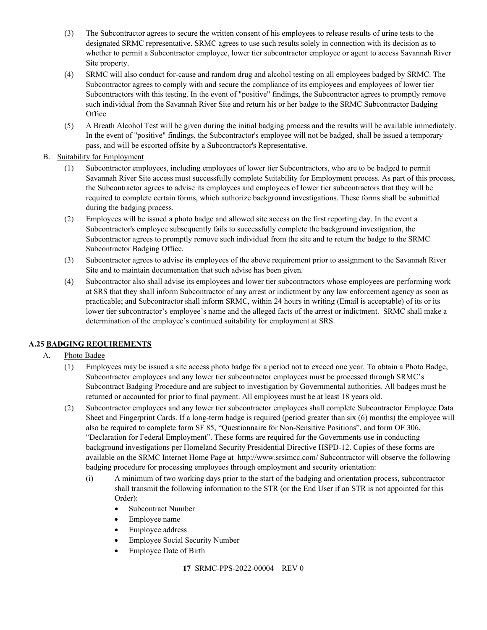- (3) The Subcontractor agrees to secure the written consent of his employees to release results of urine tests to the designated SRMC representative. SRMC agrees to use such results solely in connection with its decision as to whether to permit a Subcontractor employee, lower tier subcontractor employee or agent to access Savannah River Site property.
- (4) SRMC will also conduct for-cause and random drug and alcohol testing on all employees badged by SRMC. The Subcontractor agrees to comply with and secure the compliance of its employees and employees of lower tier Subcontractors with this testing. In the event of "positive" findings, the Subcontractor agrees to promptly remove such individual from the Savannah River Site and return his or her badge to the SRMC Subcontractor Badging **Office**
- (5) A Breath Alcohol Test will be given during the initial badging process and the results will be available immediately. In the event of "positive" findings, the Subcontractor's employee will not be badged, shall be issued a temporary pass, and will be escorted offsite by a Subcontractor's Representative.
- B. Suitability for Employment
	- (1) Subcontractor employees, including employees of lower tier Subcontractors, who are to be badged to permit Savannah River Site access must successfully complete Suitability for Employment process. As part of this process, the Subcontractor agrees to advise its employees and employees of lower tier subcontractors that they will be required to complete certain forms, which authorize background investigations. These forms shall be submitted during the badging process.
	- (2) Employees will be issued a photo badge and allowed site access on the first reporting day. In the event a Subcontractor's employee subsequently fails to successfully complete the background investigation, the Subcontractor agrees to promptly remove such individual from the site and to return the badge to the SRMC Subcontractor Badging Office.
	- (3) Subcontractor agrees to advise its employees of the above requirement prior to assignment to the Savannah River Site and to maintain documentation that such advise has been given.
	- (4) Subcontractor also shall advise its employees and lower tier subcontractors whose employees are performing work at SRS that they shall inform Subcontractor of any arrest or indictment by any law enforcement agency as soon as practicable; and Subcontractor shall inform SRMC, within 24 hours in writing (Email is acceptable) of its or its lower tier subcontractor's employee's name and the alleged facts of the arrest or indictment. SRMC shall make a determination of the employee's continued suitability for employment at SRS.

# <span id="page-16-0"></span>**A.25 BADGING REQUIREMENTS**

# A. Photo Badge

- (1) Employees may be issued a site access photo badge for a period not to exceed one year. To obtain a Photo Badge, Subcontractor employees and any lower tier subcontractor employees must be processed through SRMC's Subcontract Badging Procedure and are subject to investigation by Governmental authorities. All badges must be returned or accounted for prior to final payment. All employees must be at least 18 years old.
- (2) Subcontractor employees and any lower tier subcontractor employees shall complete Subcontractor Employee Data Sheet and Fingerprint Cards. If a long-term badge is required (period greater than six (6) months) the employee will also be required to complete form SF 85, "Questionnaire for Non-Sensitive Positions", and form OF 306, "Declaration for Federal Employment". These forms are required for the Governments use in conducting background investigations per Homeland Security Presidential Directive HSPD-12. Copies of these forms are available on the SRMC Internet Home Page at <http://www.srsimcc.com/> Subcontractor will observe the following badging procedure for processing employees through employment and security orientation:
	- (i) A minimum of two working days prior to the start of the badging and orientation process, subcontractor shall transmit the following information to the STR (or the End User if an STR is not appointed for this Order):
		- Subcontract Number
		- Employee name
		- Employee address
		- Employee Social Security Number
		- Employee Date of Birth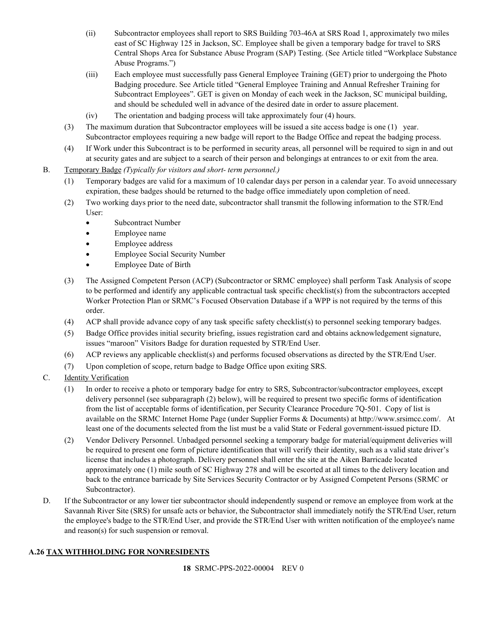- (ii) Subcontractor employees shall report to SRS Building 703-46A at SRS Road 1, approximately two miles east of SC Highway 125 in Jackson, SC. Employee shall be given a temporary badge for travel to SRS Central Shops Area for Substance Abuse Program (SAP) Testing. (See Article titled "Workplace Substance Abuse Programs.")
- (iii) Each employee must successfully pass General Employee Training (GET) prior to undergoing the Photo Badging procedure. See Article titled "General Employee Training and Annual Refresher Training for Subcontract Employees". GET is given on Monday of each week in the Jackson, SC municipal building, and should be scheduled well in advance of the desired date in order to assure placement.
- (iv) The orientation and badging process will take approximately four (4) hours.
- (3) The maximum duration that Subcontractor employees will be issued a site access badge is one (1) year. Subcontractor employees requiring a new badge will report to the Badge Office and repeat the badging process.
- (4) If Work under this Subcontract is to be performed in security areas, all personnel will be required to sign in and out at security gates and are subject to a search of their person and belongings at entrances to or exit from the area.
- B. Temporary Badge *(Typically for visitors and short- term personnel.)*
	- (1) Temporary badges are valid for a maximum of 10 calendar days per person in a calendar year. To avoid unnecessary expiration, these badges should be returned to the badge office immediately upon completion of need.
	- (2) Two working days prior to the need date, subcontractor shall transmit the following information to the STR/End User:
		- Subcontract Number
		- Employee name
		- Employee address
		- Employee Social Security Number
		- Employee Date of Birth
	- (3) The Assigned Competent Person (ACP) (Subcontractor or SRMC employee) shall perform Task Analysis of scope to be performed and identify any applicable contractual task specific checklist(s) from the subcontractors accepted Worker Protection Plan or SRMC's Focused Observation Database if a WPP is not required by the terms of this order.
	- (4) ACP shall provide advance copy of any task specific safety checklist(s) to personnel seeking temporary badges.
	- (5) Badge Office provides initial security briefing, issues registration card and obtains acknowledgement signature, issues "maroon" Visitors Badge for duration requested by STR/End User.
	- (6) ACP reviews any applicable checklist(s) and performs focused observations as directed by the STR/End User.
	- (7) Upon completion of scope, return badge to Badge Office upon exiting SRS.
- C. Identity Verification
	- (1) In order to receive a photo or temporary badge for entry to SRS, Subcontractor/subcontractor employees, except delivery personnel (see subparagraph (2) below), will be required to present two specific forms of identification from the list of acceptable forms of identification, per Security Clearance Procedure 7Q-501. Copy of list is available on the SRMC Internet Home Page (under Supplier Forms & Documents) at [http://www.srsimcc.com/.](http://www.srsimcc.com/) At least one of the documents selected from the list must be a valid State or Federal government-issued picture ID.
	- (2) Vendor Delivery Personnel. Unbadged personnel seeking a temporary badge for material/equipment deliveries will be required to present one form of picture identification that will verify their identity, such as a valid state driver's license that includes a photograph. Delivery personnel shall enter the site at the Aiken Barricade located approximately one (1) mile south of SC Highway 278 and will be escorted at all times to the delivery location and back to the entrance barricade by Site Services Security Contractor or by Assigned Competent Persons (SRMC or Subcontractor).
- D. If the Subcontractor or any lower tier subcontractor should independently suspend or remove an employee from work at the Savannah River Site (SRS) for unsafe acts or behavior, the Subcontractor shall immediately notify the STR/End User, return the employee's badge to the STR/End User, and provide the STR/End User with written notification of the employee's name and reason(s) for such suspension or removal.

## <span id="page-17-0"></span>**A.26 TAX WITHHOLDING FOR NONRESIDENTS**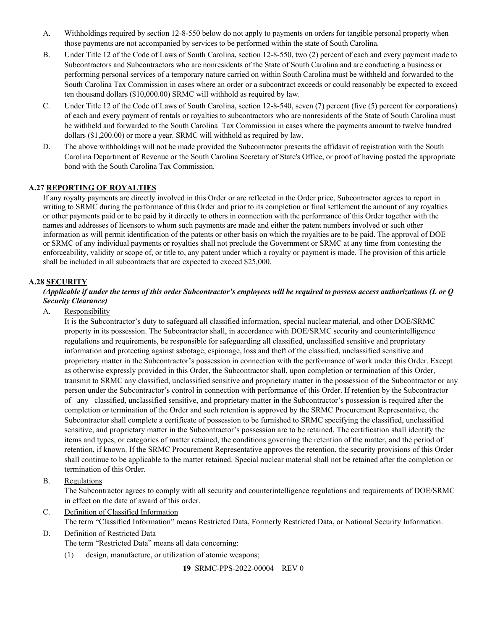- A. Withholdings required by section 12-8-550 below do not apply to payments on orders for tangible personal property when those payments are not accompanied by services to be performed within the state of South Carolina.
- B. Under Title 12 of the Code of Laws of South Carolina, section 12-8-550, two (2) percent of each and every payment made to Subcontractors and Subcontractors who are nonresidents of the State of South Carolina and are conducting a business or performing personal services of a temporary nature carried on within South Carolina must be withheld and forwarded to the South Carolina Tax Commission in cases where an order or a subcontract exceeds or could reasonably be expected to exceed ten thousand dollars (\$10,000.00) SRMC will withhold as required by law.
- C. Under Title 12 of the Code of Laws of South Carolina, section 12-8-540, seven (7) percent (five (5) percent for corporations) of each and every payment of rentals or royalties to subcontractors who are nonresidents of the State of South Carolina must be withheld and forwarded to the South Carolina Tax Commission in cases where the payments amount to twelve hundred dollars (\$1,200.00) or more a year. SRMC will withhold as required by law.
- D. The above withholdings will not be made provided the Subcontractor presents the affidavit of registration with the South Carolina Department of Revenue or the South Carolina Secretary of State's Office, or proof of having posted the appropriate bond with the South Carolina Tax Commission.

# <span id="page-18-0"></span>**A.27 REPORTING OF ROYALTIES**

If any royalty payments are directly involved in this Order or are reflected in the Order price, Subcontractor agrees to report in writing to SRMC during the performance of this Order and prior to its completion or final settlement the amount of any royalties or other payments paid or to be paid by it directly to others in connection with the performance of this Order together with the names and addresses of licensors to whom such payments are made and either the patent numbers involved or such other information as will permit identification of the patents or other basis on which the royalties are to be paid. The approval of DOE or SRMC of any individual payments or royalties shall not preclude the Government or SRMC at any time from contesting the enforceability, validity or scope of, or title to, any patent under which a royalty or payment is made. The provision of this article shall be included in all subcontracts that are expected to exceed \$25,000.

## <span id="page-18-1"></span>**A.28 SECURITY**

#### *(Applicable if under the terms of this order Subcontractor's employees will be required to possess access authorizations (L or Q Security Clearance)*

A. Responsibility

It is the Subcontractor's duty to safeguard all classified information, special nuclear material, and other DOE/SRMC property in its possession. The Subcontractor shall, in accordance with DOE/SRMC security and counterintelligence regulations and requirements, be responsible for safeguarding all classified, unclassified sensitive and proprietary information and protecting against sabotage, espionage, loss and theft of the classified, unclassified sensitive and proprietary matter in the Subcontractor's possession in connection with the performance of work under this Order. Except as otherwise expressly provided in this Order, the Subcontractor shall, upon completion or termination of this Order, transmit to SRMC any classified, unclassified sensitive and proprietary matter in the possession of the Subcontractor or any person under the Subcontractor's control in connection with performance of this Order. If retention by the Subcontractor of any classified, unclassified sensitive, and proprietary matter in the Subcontractor's possession is required after the completion or termination of the Order and such retention is approved by the SRMC Procurement Representative, the Subcontractor shall complete a certificate of possession to be furnished to SRMC specifying the classified, unclassified sensitive, and proprietary matter in the Subcontractor's possession are to be retained. The certification shall identify the items and types, or categories of matter retained, the conditions governing the retention of the matter, and the period of retention, if known. If the SRMC Procurement Representative approves the retention, the security provisions of this Order shall continue to be applicable to the matter retained. Special nuclear material shall not be retained after the completion or termination of this Order.

B. Regulations

The Subcontractor agrees to comply with all security and counterintelligence regulations and requirements of DOE/SRMC in effect on the date of award of this order.

- C. Definition of Classified Information
	- The term "Classified Information" means Restricted Data, Formerly Restricted Data, or National Security Information.
- D. Definition of Restricted Data

The term "Restricted Data" means all data concerning:

(1) design, manufacture, or utilization of atomic weapons;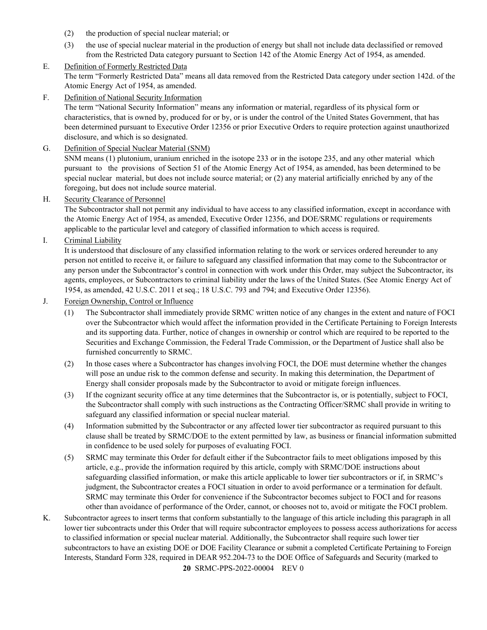- (2) the production of special nuclear material; or
- (3) the use of special nuclear material in the production of energy but shall not include data declassified or removed from the Restricted Data category pursuant to Section 142 of the Atomic Energy Act of 1954, as amended.

## E. Definition of Formerly Restricted Data

The term "Formerly Restricted Data" means all data removed from the Restricted Data category under section 142d. of the Atomic Energy Act of 1954, as amended.

F. Definition of National Security Information

The term "National Security Information" means any information or material, regardless of its physical form or characteristics, that is owned by, produced for or by, or is under the control of the United States Government, that has been determined pursuant to Executive Order 12356 or prior Executive Orders to require protection against unauthorized disclosure, and which is so designated.

G. Definition of Special Nuclear Material (SNM)

SNM means (1) plutonium, uranium enriched in the isotope 233 or in the isotope 235, and any other material which pursuant to the provisions of Section 51 of the Atomic Energy Act of 1954, as amended, has been determined to be special nuclear material, but does not include source material; or (2) any material artificially enriched by any of the foregoing, but does not include source material.

H. Security Clearance of Personnel

The Subcontractor shall not permit any individual to have access to any classified information, except in accordance with the Atomic Energy Act of 1954, as amended, Executive Order 12356, and DOE/SRMC regulations or requirements applicable to the particular level and category of classified information to which access is required.

I. Criminal Liability

It is understood that disclosure of any classified information relating to the work or services ordered hereunder to any person not entitled to receive it, or failure to safeguard any classified information that may come to the Subcontractor or any person under the Subcontractor's control in connection with work under this Order, may subject the Subcontractor, its agents, employees, or Subcontractors to criminal liability under the laws of the United States. (See Atomic Energy Act of 1954, as amended, 42 U.S.C. 2011 et seq.; 18 U.S.C. 793 and 794; and Executive Order 12356).

- J. Foreign Ownership, Control or Influence
	- (1) The Subcontractor shall immediately provide SRMC written notice of any changes in the extent and nature of FOCI over the Subcontractor which would affect the information provided in the Certificate Pertaining to Foreign Interests and its supporting data. Further, notice of changes in ownership or control which are required to be reported to the Securities and Exchange Commission, the Federal Trade Commission, or the Department of Justice shall also be furnished concurrently to SRMC.
	- (2) In those cases where a Subcontractor has changes involving FOCI, the DOE must determine whether the changes will pose an undue risk to the common defense and security. In making this determination, the Department of Energy shall consider proposals made by the Subcontractor to avoid or mitigate foreign influences.
	- (3) If the cognizant security office at any time determines that the Subcontractor is, or is potentially, subject to FOCI, the Subcontractor shall comply with such instructions as the Contracting Officer/SRMC shall provide in writing to safeguard any classified information or special nuclear material.
	- (4) Information submitted by the Subcontractor or any affected lower tier subcontractor as required pursuant to this clause shall be treated by SRMC/DOE to the extent permitted by law, as business or financial information submitted in confidence to be used solely for purposes of evaluating FOCI.
	- (5) SRMC may terminate this Order for default either if the Subcontractor fails to meet obligations imposed by this article, e.g., provide the information required by this article, comply with SRMC/DOE instructions about safeguarding classified information, or make this article applicable to lower tier subcontractors or if, in SRMC's judgment, the Subcontractor creates a FOCI situation in order to avoid performance or a termination for default. SRMC may terminate this Order for convenience if the Subcontractor becomes subject to FOCI and for reasons other than avoidance of performance of the Order, cannot, or chooses not to, avoid or mitigate the FOCI problem.
- **20** SRMC-PPS-2022-00004 REV 0 K. Subcontractor agrees to insert terms that conform substantially to the language of this article including this paragraph in all lower tier subcontracts under this Order that will require subcontractor employees to possess access authorizations for access to classified information or special nuclear material. Additionally, the Subcontractor shall require such lower tier subcontractors to have an existing DOE or DOE Facility Clearance or submit a completed Certificate Pertaining to Foreign Interests, Standard Form 328, required in DEAR 952.204-73 to the DOE Office of Safeguards and Security (marked to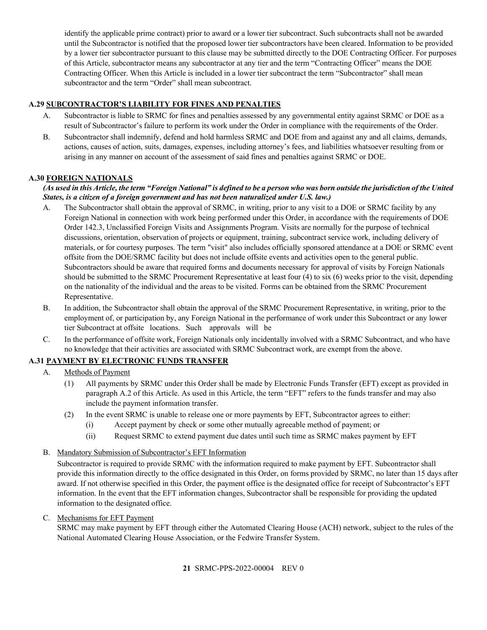identify the applicable prime contract) prior to award or a lower tier subcontract. Such subcontracts shall not be awarded until the Subcontractor is notified that the proposed lower tier subcontractors have been cleared. Information to be provided by a lower tier subcontractor pursuant to this clause may be submitted directly to the DOE Contracting Officer. For purposes of this Article, subcontractor means any subcontractor at any tier and the term "Contracting Officer" means the DOE Contracting Officer. When this Article is included in a lower tier subcontract the term "Subcontractor" shall mean subcontractor and the term "Order" shall mean subcontract.

## <span id="page-20-0"></span>**A.29 SUBCONTRACTOR'S LIABILITY FOR FINES AND PENALTIES**

- A. Subcontractor is liable to SRMC for fines and penalties assessed by any governmental entity against SRMC or DOE as a result of Subcontractor's failure to perform its work under the Order in compliance with the requirements of the Order.
- B. Subcontractor shall indemnify, defend and hold harmless SRMC and DOE from and against any and all claims, demands, actions, causes of action, suits, damages, expenses, including attorney's fees, and liabilities whatsoever resulting from or arising in any manner on account of the assessment of said fines and penalties against SRMC or DOE.

## <span id="page-20-1"></span>**A.30 FOREIGN NATIONALS**

## *(As used in this Article, the term "Foreign National" is defined to be a person who was born outside the jurisdiction of the United States, is a citizen of a foreign government and has not been naturalized under U.S. law.)*

- A. The Subcontractor shall obtain the approval of SRMC, in writing, prior to any visit to a DOE or SRMC facility by any Foreign National in connection with work being performed under this Order, in accordance with the requirements of DOE Order 142.3, Unclassified Foreign Visits and Assignments Program. Visits are normally for the purpose of technical discussions, orientation, observation of projects or equipment, training, subcontract service work, including delivery of materials, or for courtesy purposes. The term "visit" also includes officially sponsored attendance at a DOE or SRMC event offsite from the DOE/SRMC facility but does not include offsite events and activities open to the general public. Subcontractors should be aware that required forms and documents necessary for approval of visits by Foreign Nationals should be submitted to the SRMC Procurement Representative at least four (4) to six (6) weeks prior to the visit, depending on the nationality of the individual and the areas to be visited. Forms can be obtained from the SRMC Procurement Representative.
- B. In addition, the Subcontractor shall obtain the approval of the SRMC Procurement Representative, in writing, prior to the employment of, or participation by, any Foreign National in the performance of work under this Subcontract or any lower tier Subcontract at offsite locations. Such approvals will be
- C. In the performance of offsite work, Foreign Nationals only incidentally involved with a SRMC Subcontract, and who have no knowledge that their activities are associated with SRMC Subcontract work, are exempt from the above.

# <span id="page-20-2"></span>**A.31 PAYMENT BY ELECTRONIC FUNDS TRANSFER**

- A. Methods of Payment
	- (1) All payments by SRMC under this Order shall be made by Electronic Funds Transfer (EFT) except as provided in paragraph A.2 of this Article. As used in this Article, the term "EFT" refers to the funds transfer and may also include the payment information transfer.
	- (2) In the event SRMC is unable to release one or more payments by EFT, Subcontractor agrees to either:
		- (i) Accept payment by check or some other mutually agreeable method of payment; or
		- (ii) Request SRMC to extend payment due dates until such time as SRMC makes payment by EFT
- B. Mandatory Submission of Subcontractor's EFT Information

Subcontractor is required to provide SRMC with the information required to make payment by EFT. Subcontractor shall provide this information directly to the office designated in this Order, on forms provided by SRMC, no later than 15 days after award. If not otherwise specified in this Order, the payment office is the designated office for receipt of Subcontractor's EFT information. In the event that the EFT information changes, Subcontractor shall be responsible for providing the updated information to the designated office.

#### C. Mechanisms for EFT Payment

SRMC may make payment by EFT through either the Automated Clearing House (ACH) network, subject to the rules of the National Automated Clearing House Association, or the Fedwire Transfer System.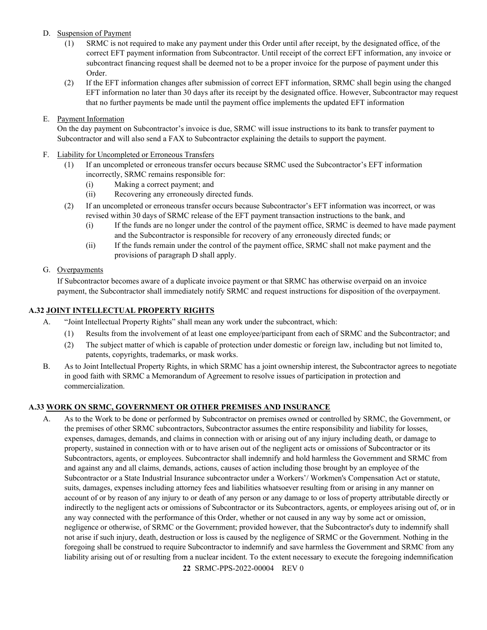## D. Suspension of Payment

- (1) SRMC is not required to make any payment under this Order until after receipt, by the designated office, of the correct EFT payment information from Subcontractor. Until receipt of the correct EFT information, any invoice or subcontract financing request shall be deemed not to be a proper invoice for the purpose of payment under this Order.
- (2) If the EFT information changes after submission of correct EFT information, SRMC shall begin using the changed EFT information no later than 30 days after its receipt by the designated office. However, Subcontractor may request that no further payments be made until the payment office implements the updated EFT information

## E. Payment Information

On the day payment on Subcontractor's invoice is due, SRMC will issue instructions to its bank to transfer payment to Subcontractor and will also send a FAX to Subcontractor explaining the details to support the payment.

## F. Liability for Uncompleted or Erroneous Transfers

- (1) If an uncompleted or erroneous transfer occurs because SRMC used the Subcontractor's EFT information incorrectly, SRMC remains responsible for:
	- (i) Making a correct payment; and
	- (ii) Recovering any erroneously directed funds.
- (2) If an uncompleted or erroneous transfer occurs because Subcontractor's EFT information was incorrect, or was revised within 30 days of SRMC release of the EFT payment transaction instructions to the bank, and
	- (i) If the funds are no longer under the control of the payment office, SRMC is deemed to have made payment and the Subcontractor is responsible for recovery of any erroneously directed funds; or
	- (ii) If the funds remain under the control of the payment office, SRMC shall not make payment and the provisions of paragraph D shall apply.

## G. Overpayments

If Subcontractor becomes aware of a duplicate invoice payment or that SRMC has otherwise overpaid on an invoice payment, the Subcontractor shall immediately notify SRMC and request instructions for disposition of the overpayment.

## <span id="page-21-0"></span>**A.32 JOINT INTELLECTUAL PROPERTY RIGHTS**

- A. "Joint Intellectual Property Rights" shall mean any work under the subcontract, which:
	- (1) Results from the involvement of at least one employee/participant from each of SRMC and the Subcontractor; and
	- (2) The subject matter of which is capable of protection under domestic or foreign law, including but not limited to, patents, copyrights, trademarks, or mask works.
- B. As to Joint Intellectual Property Rights, in which SRMC has a joint ownership interest, the Subcontractor agrees to negotiate in good faith with SRMC a Memorandum of Agreement to resolve issues of participation in protection and commercialization.

## <span id="page-21-1"></span>**A.33 WORK ON SRMC, GOVERNMENT OR OTHER PREMISES AND INSURANCE**

A. As to the Work to be done or performed by Subcontractor on premises owned or controlled by SRMC, the Government, or the premises of other SRMC subcontractors, Subcontractor assumes the entire responsibility and liability for losses, expenses, damages, demands, and claims in connection with or arising out of any injury including death, or damage to property, sustained in connection with or to have arisen out of the negligent acts or omissions of Subcontractor or its Subcontractors, agents, or employees. Subcontractor shall indemnify and hold harmless the Government and SRMC from and against any and all claims, demands, actions, causes of action including those brought by an employee of the Subcontractor or a State Industrial Insurance subcontractor under a Workers'/ Workmen's Compensation Act or statute, suits, damages, expenses including attorney fees and liabilities whatsoever resulting from or arising in any manner on account of or by reason of any injury to or death of any person or any damage to or loss of property attributable directly or indirectly to the negligent acts or omissions of Subcontractor or its Subcontractors, agents, or employees arising out of, or in any way connected with the performance of this Order, whether or not caused in any way by some act or omission, negligence or otherwise, of SRMC or the Government; provided however, that the Subcontractor's duty to indemnify shall not arise if such injury, death, destruction or loss is caused by the negligence of SRMC or the Government. Nothing in the foregoing shall be construed to require Subcontractor to indemnify and save harmless the Government and SRMC from any liability arising out of or resulting from a nuclear incident. To the extent necessary to execute the foregoing indemnification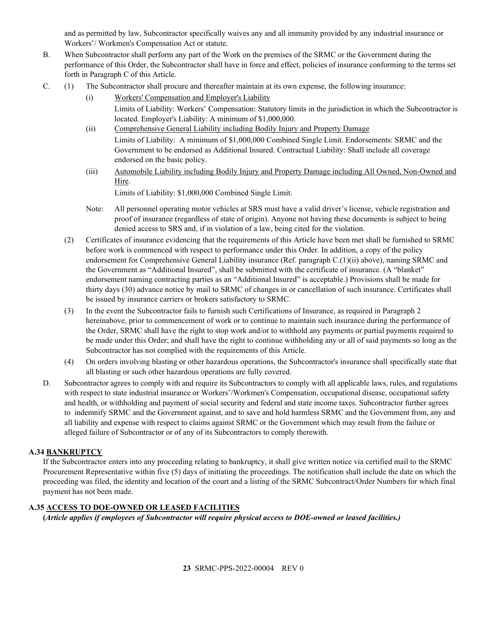and as permitted by law, Subcontractor specifically waives any and all immunity provided by any industrial insurance or Workers'/ Workmen's Compensation Act or statute.

- B. When Subcontractor shall perform any part of the Work on the premises of the SRMC or the Government during the performance of this Order, the Subcontractor shall have in force and effect, policies of insurance conforming to the terms set forth in Paragraph C of this Article.
- C. (1) The Subcontractor shall procure and thereafter maintain at its own expense, the following insurance:
	- (i) Workers' Compensation and Employer's Liability Limits of Liability: Workers' Compensation: Statutory limits in the jurisdiction in which the Subcontractor is located. Employer's Liability: A minimum of \$1,000,000.
	- (ii) Comprehensive General Liability including Bodily Injury and Property Damage Limits of Liability: A minimum of \$1,000,000 Combined Single Limit. Endorsements: SRMC and the Government to be endorsed as Additional Insured. Contractual Liability: Shall include all coverage endorsed on the basic policy.
	- (iii) Automobile Liability including Bodily Injury and Property Damage including All Owned, Non-Owned and Hire.

Limits of Liability: \$1,000,000 Combined Single Limit.

- Note: All personnel operating motor vehicles at SRS must have a valid driver's license, vehicle registration and proof of insurance (regardless of state of origin). Anyone not having these documents is subject to being denied access to SRS and, if in violation of a law, being cited for the violation.
- (2) Certificates of insurance evidencing that the requirements of this Article have been met shall be furnished to SRMC before work is commenced with respect to performance under this Order. In addition, a copy of the policy endorsement for Comprehensive General Liability insurance (Ref. paragraph C.(1)(ii) above), naming SRMC and the Government as "Additional Insured", shall be submitted with the certificate of insurance. (A "blanket" endorsement naming contracting parties as an "Additional Insured" is acceptable.) Provisions shall be made for thirty days (30) advance notice by mail to SRMC of changes in or cancellation of such insurance. Certificates shall be issued by insurance carriers or brokers satisfactory to SRMC.
- (3) In the event the Subcontractor fails to furnish such Certifications of Insurance, as required in Paragraph 2 hereinabove, prior to commencement of work or to continue to maintain such insurance during the performance of the Order, SRMC shall have the right to stop work and/or to withhold any payments or partial payments required to be made under this Order; and shall have the right to continue withholding any or all of said payments so long as the Subcontractor has not complied with the requirements of this Article.
- (4) On orders involving blasting or other hazardous operations, the Subcontractor's insurance shall specifically state that all blasting or such other hazardous operations are fully covered.
- D. Subcontractor agrees to comply with and require its Subcontractors to comply with all applicable laws, rules, and regulations with respect to state industrial insurance or Workers'/Workmen's Compensation, occupational disease, occupational safety and health, or withholding and payment of social security and federal and state income taxes. Subcontractor further agrees to indemnify SRMC and the Government against, and to save and hold harmless SRMC and the Government from, any and all liability and expense with respect to claims against SRMC or the Government which may result from the failure or alleged failure of Subcontractor or of any of its Subcontractors to comply therewith.

## <span id="page-22-0"></span>**A.34 BANKRUPTCY**

If the Subcontractor enters into any proceeding relating to bankruptcy, it shall give written notice via certified mail to the SRMC Procurement Representative within five (5) days of initiating the proceedings. The notification shall include the date on which the proceeding was filed, the identity and location of the court and a listing of the SRMC Subcontract/Order Numbers for which final payment has not been made.

# <span id="page-22-1"></span>**A.35 ACCESS TO DOE-OWNED OR LEASED FACILITIES**

**(***Article applies if employees of Subcontractor will require physical access to DOE-owned or leased facilities.)*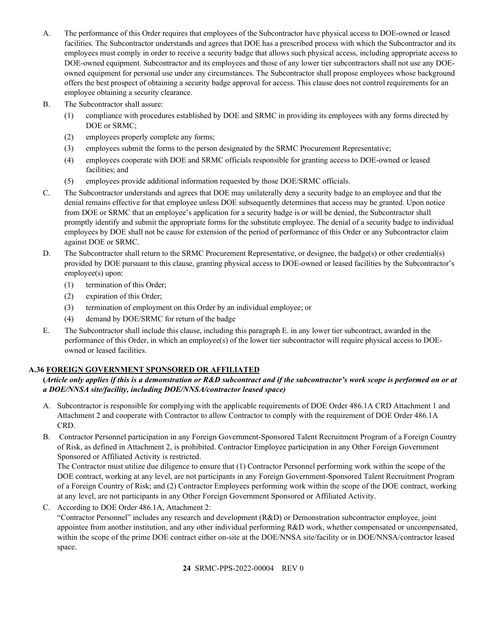- A. The performance of this Order requires that employees of the Subcontractor have physical access to DOE-owned or leased facilities. The Subcontractor understands and agrees that DOE has a prescribed process with which the Subcontractor and its employees must comply in order to receive a security badge that allows such physical access, including appropriate access to DOE-owned equipment. Subcontractor and its employees and those of any lower tier subcontractors shall not use any DOEowned equipment for personal use under any circumstances. The Subcontractor shall propose employees whose background offers the best prospect of obtaining a security badge approval for access. This clause does not control requirements for an employee obtaining a security clearance.
- B. The Subcontractor shall assure:
	- (1) compliance with procedures established by DOE and SRMC in providing its employees with any forms directed by DOE or SRMC;
	- (2) employees properly complete any forms;
	- (3) employees submit the forms to the person designated by the SRMC Procurement Representative;
	- (4) employees cooperate with DOE and SRMC officials responsible for granting access to DOE-owned or leased facilities; and
	- (5) employees provide additional information requested by those DOE/SRMC officials.
- C. The Subcontractor understands and agrees that DOE may unilaterally deny a security badge to an employee and that the denial remains effective for that employee unless DOE subsequently determines that access may be granted. Upon notice from DOE or SRMC that an employee's application for a security badge is or will be denied, the Subcontractor shall promptly identify and submit the appropriate forms for the substitute employee. The denial of a security badge to individual employees by DOE shall not be cause for extension of the period of performance of this Order or any Subcontractor claim against DOE or SRMC.
- D. The Subcontractor shall return to the SRMC Procurement Representative, or designee, the badge(s) or other credential(s) provided by DOE pursuant to this clause, granting physical access to DOE-owned or leased facilities by the Subcontractor's employee(s) upon:
	- (1) termination of this Order;
	- (2) expiration of this Order;
	- (3) termination of employment on this Order by an individual employee; or
	- (4) demand by DOE/SRMC for return of the badge
- E. The Subcontractor shall include this clause, including this paragraph E. in any lower tier subcontract, awarded in the performance of this Order, in which an employee(s) of the lower tier subcontractor will require physical access to DOEowned or leased facilities.

# <span id="page-23-0"></span>**A.36 FOREIGN GOVERNMENT SPONSORED OR AFFILIATED**

## **(***Article only applies if this is a demonstration or R&D subcontract and if the subcontractor's work scope is performed on or at a DOE/NNSA site/facility, including DOE/NNSA/contractor leased space)*

- A. Subcontractor is responsible for complying with the applicable requirements of DOE Order 486.1A CRD Attachment 1 and Attachment 2 and cooperate with Contractor to allow Contractor to comply with the requirement of DOE Order 486.1A CRD.
- B. Contractor Personnel participation in any Foreign Government-Sponsored Talent Recruitment Program of a Foreign Country of Risk, as defined in Attachment 2, is prohibited. Contractor Employee participation in any Other Foreign Government Sponsored or Affiliated Activity is restricted.

The Contractor must utilize due diligence to ensure that (1) Contractor Personnel performing work within the scope of the DOE contract, working at any level, are not participants in any Foreign Government-Sponsored Talent Recruitment Program of a Foreign Country of Risk; and (2) Contractor Employees performing work within the scope of the DOE contract, working at any level, are not participants in any Other Foreign Government Sponsored or Affiliated Activity.

C. According to DOE Order 486.1A, Attachment 2:

"Contractor Personnel" includes any research and development (R&D) or Demonstration subcontractor employee, joint appointee from another institution, and any other individual performing R&D work, whether compensated or uncompensated, within the scope of the prime DOE contract either on-site at the DOE/NNSA site/facility or in DOE/NNSA/contractor leased space.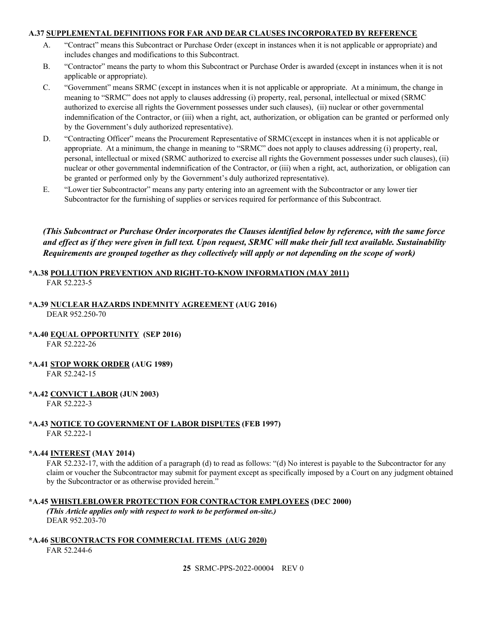## <span id="page-24-0"></span>**A.37 SUPPLEMENTAL DEFINITIONS FOR FAR AND DEAR CLAUSES INCORPORATED BY REFERENCE**

- A. "Contract" means this Subcontract or Purchase Order (except in instances when it is not applicable or appropriate) and includes changes and modifications to this Subcontract.
- B. "Contractor" means the party to whom this Subcontract or Purchase Order is awarded (except in instances when it is not applicable or appropriate).
- C. "Government" means SRMC (except in instances when it is not applicable or appropriate. At a minimum, the change in meaning to "SRMC" does not apply to clauses addressing (i) property, real, personal, intellectual or mixed (SRMC authorized to exercise all rights the Government possesses under such clauses), (ii) nuclear or other governmental indemnification of the Contractor, or (iii) when a right, act, authorization, or obligation can be granted or performed only by the Government's duly authorized representative).
- D. "Contracting Officer" means the Procurement Representative of SRMC(except in instances when it is not applicable or appropriate. At a minimum, the change in meaning to "SRMC" does not apply to clauses addressing (i) property, real, personal, intellectual or mixed (SRMC authorized to exercise all rights the Government possesses under such clauses), (ii) nuclear or other governmental indemnification of the Contractor, or (iii) when a right, act, authorization, or obligation can be granted or performed only by the Government's duly authorized representative).
- E. "Lower tier Subcontractor" means any party entering into an agreement with the Subcontractor or any lower tier Subcontractor for the furnishing of supplies or services required for performance of this Subcontract.

*(This Subcontract or Purchase Order incorporates the Clauses identified below by reference, with the same force and effect as if they were given in full text. Upon request, SRMC will make their full text available. Sustainability Requirements are grouped together as they collectively will apply or not depending on the scope of work)*

## <span id="page-24-1"></span>**\*A.38 POLLUTION PREVENTION AND RIGHT-TO-KNOW INFORMATION (MAY 2011)** FAR 52.223-5

## <span id="page-24-2"></span>**\*A.39 NUCLEAR HAZARDS INDEMNITY AGREEMENT (AUG 2016)**

DEAR 952.250-70

<span id="page-24-3"></span>**\*A.40 EQUAL OPPORTUNITY (SEP 2016)**

FAR 52.222-26

<span id="page-24-4"></span>**\*A.41 STOP WORK ORDER (AUG 1989)**

FAR 52.242-15

<span id="page-24-5"></span>**\*A.42 CONVICT LABOR (JUN 2003)**

FAR 52.222-3

## <span id="page-24-6"></span>**\*A.43 NOTICE TO GOVERNMENT OF LABOR DISPUTES (FEB 1997)** FAR 52.222-1

#### <span id="page-24-7"></span>**\*A.44 INTEREST (MAY 2014)**

FAR 52.232-17, with the addition of a paragraph (d) to read as follows: "(d) No interest is payable to the Subcontractor for any claim or voucher the Subcontractor may submit for payment except as specifically imposed by a Court on any judgment obtained by the Subcontractor or as otherwise provided herein."

#### <span id="page-24-8"></span>**\*A.45 WHISTLEBLOWER PROTECTION FOR CONTRACTOR EMPLOYEES (DEC 2000)**

*(This Article applies only with respect to work to be performed on-site.)* DEAR 952.203-70

# <span id="page-24-9"></span>**\*A.46 SUBCONTRACTS FOR COMMERCIAL ITEMS (AUG 2020)**

FAR 52.244-6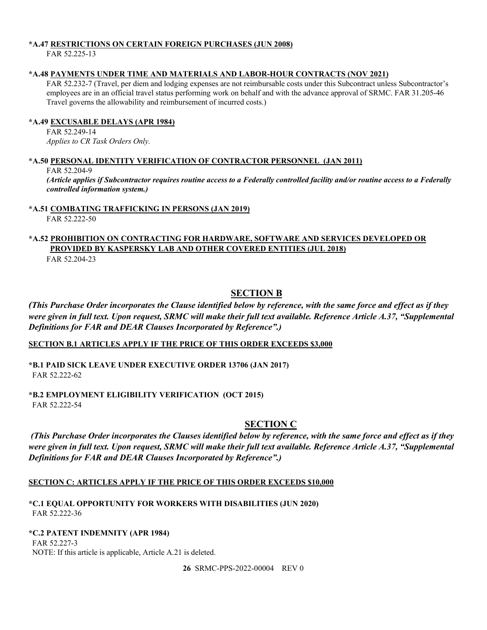## <span id="page-25-0"></span>**\*A.47 RESTRICTIONS ON CERTAIN FOREIGN PURCHASES (JUN 2008)**

FAR 52.225-13

## <span id="page-25-1"></span>**\*A.48 PAYMENTS UNDER TIME AND MATERIALS AND LABOR-HOUR CONTRACTS (NOV 2021)**

FAR 52.232-7 (Travel, per diem and lodging expenses are not reimbursable costs under this Subcontract unless Subcontractor's employees are in an official travel status performing work on behalf and with the advance approval of SRMC. FAR 31.205-46 Travel governs the allowability and reimbursement of incurred costs.)

## <span id="page-25-2"></span>**\*A.49 EXCUSABLE DELAYS (APR 1984)**

FAR 52.249-14 *Applies to CR Task Orders Only.*

## <span id="page-25-3"></span>**\*A.50 PERSONAL IDENTITY VERIFICATION OF CONTRACTOR PERSONNEL (JAN 2011)**

FAR 52.204-9

*(Article applies if Subcontractor requires routine access to a Federally controlled facility and/or routine access to a Federally controlled information system.)*

## <span id="page-25-4"></span>**\*A.51 COMBATING TRAFFICKING IN PERSONS (JAN 2019)**

FAR 52.222-50

# <span id="page-25-5"></span>**\*A.52 PROHIBITION ON CONTRACTING FOR HARDWARE, SOFTWARE AND SERVICES DEVELOPED OR PROVIDED BY KASPERSKY LAB AND OTHER COVERED ENTITIES (JUL 2018)**

FAR 52.204-23

# **SECTION B**

<span id="page-25-6"></span>*(This Purchase Order incorporates the Clause identified below by reference, with the same force and effect as if they were given in full text. Upon request, SRMC will make their full text available. Reference Article A.37, "Supplemental Definitions for FAR and DEAR Clauses Incorporated by Reference".)*

## <span id="page-25-7"></span>**SECTION B.1 ARTICLES APPLY IF THE PRICE OF THIS ORDER EXCEEDS \$3,000**

<span id="page-25-8"></span>**\*B.1 PAID SICK LEAVE UNDER EXECUTIVE ORDER 13706 (JAN 2017)** FAR 52.222-62

<span id="page-25-10"></span><span id="page-25-9"></span>**\*B.2 EMPLOYMENT ELIGIBILITY VERIFICATION (OCT 2015)** FAR 52.222-54

# **SECTION C**

*(This Purchase Order incorporates the Clauses identified below by reference, with the same force and effect as if they were given in full text. Upon request, SRMC will make their full text available. Reference Article A.37, "Supplemental Definitions for FAR and DEAR Clauses Incorporated by Reference".)*

## <span id="page-25-11"></span>**SECTION C: ARTICLES APPLY IF THE PRICE OF THIS ORDER EXCEEDS \$10,000**

<span id="page-25-12"></span>**\*C.1 EQUAL OPPORTUNITY FOR WORKERS WITH DISABILITIES (JUN 2020)** FAR 52.222-36

## <span id="page-25-13"></span>**\*C.2 PATENT INDEMNITY (APR 1984)**

FAR 52.227-3 NOTE: If this article is applicable, Article A.21 is deleted.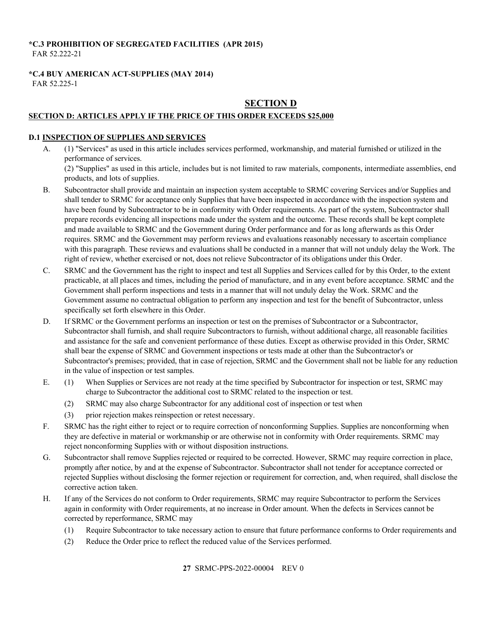## <span id="page-26-0"></span>**\*C.3 PROHIBITION OF SEGREGATED FACILITIES (APR 2015)** FAR 52.222-21

# <span id="page-26-1"></span>**\*C.4 BUY AMERICAN ACT-SUPPLIES (MAY 2014)**

<span id="page-26-2"></span>FAR 52.225-1

# **SECTION D**

# <span id="page-26-3"></span>**SECTION D: ARTICLES APPLY IF THE PRICE OF THIS ORDER EXCEEDS \$25,000**

## <span id="page-26-4"></span>**D.1 INSPECTION OF SUPPLIES AND SERVICES**

- A. (1) "Services" as used in this article includes services performed, workmanship, and material furnished or utilized in the performance of services. (2) "Supplies" as used in this article, includes but is not limited to raw materials, components, intermediate assemblies, end products, and lots of supplies.
- B. Subcontractor shall provide and maintain an inspection system acceptable to SRMC covering Services and/or Supplies and shall tender to SRMC for acceptance only Supplies that have been inspected in accordance with the inspection system and have been found by Subcontractor to be in conformity with Order requirements. As part of the system, Subcontractor shall prepare records evidencing all inspections made under the system and the outcome. These records shall be kept complete and made available to SRMC and the Government during Order performance and for as long afterwards as this Order requires. SRMC and the Government may perform reviews and evaluations reasonably necessary to ascertain compliance with this paragraph. These reviews and evaluations shall be conducted in a manner that will not unduly delay the Work. The right of review, whether exercised or not, does not relieve Subcontractor of its obligations under this Order.
- C. SRMC and the Government has the right to inspect and test all Supplies and Services called for by this Order, to the extent practicable, at all places and times, including the period of manufacture, and in any event before acceptance. SRMC and the Government shall perform inspections and tests in a manner that will not unduly delay the Work. SRMC and the Government assume no contractual obligation to perform any inspection and test for the benefit of Subcontractor, unless specifically set forth elsewhere in this Order.
- D. If SRMC or the Government performs an inspection or test on the premises of Subcontractor or a Subcontractor, Subcontractor shall furnish, and shall require Subcontractors to furnish, without additional charge, all reasonable facilities and assistance for the safe and convenient performance of these duties. Except as otherwise provided in this Order, SRMC shall bear the expense of SRMC and Government inspections or tests made at other than the Subcontractor's or Subcontractor's premises; provided, that in case of rejection, SRMC and the Government shall not be liable for any reduction in the value of inspection or test samples.
- E. (1) When Supplies or Services are not ready at the time specified by Subcontractor for inspection or test, SRMC may charge to Subcontractor the additional cost to SRMC related to the inspection or test.
	- (2) SRMC may also charge Subcontractor for any additional cost of inspection or test when
	- (3) prior rejection makes reinspection or retest necessary.
- F. SRMC has the right either to reject or to require correction of nonconforming Supplies. Supplies are nonconforming when they are defective in material or workmanship or are otherwise not in conformity with Order requirements. SRMC may reject nonconforming Supplies with or without disposition instructions.
- G. Subcontractor shall remove Supplies rejected or required to be corrected. However, SRMC may require correction in place, promptly after notice, by and at the expense of Subcontractor. Subcontractor shall not tender for acceptance corrected or rejected Supplies without disclosing the former rejection or requirement for correction, and, when required, shall disclose the corrective action taken.
- H. If any of the Services do not conform to Order requirements, SRMC may require Subcontractor to perform the Services again in conformity with Order requirements, at no increase in Order amount. When the defects in Services cannot be corrected by reperformance, SRMC may
	- (1) Require Subcontractor to take necessary action to ensure that future performance conforms to Order requirements and
	- (2) Reduce the Order price to reflect the reduced value of the Services performed.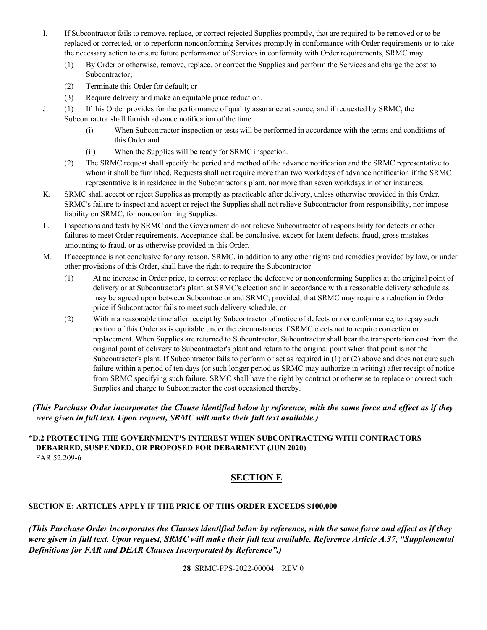- I. If Subcontractor fails to remove, replace, or correct rejected Supplies promptly, that are required to be removed or to be replaced or corrected, or to reperform nonconforming Services promptly in conformance with Order requirements or to take the necessary action to ensure future performance of Services in conformity with Order requirements, SRMC may
	- (1) By Order or otherwise, remove, replace, or correct the Supplies and perform the Services and charge the cost to Subcontractor;
	- (2) Terminate this Order for default; or
	- (3) Require delivery and make an equitable price reduction.
- J. (1) If this Order provides for the performance of quality assurance at source, and if requested by SRMC, the Subcontractor shall furnish advance notification of the time
	- (i) When Subcontractor inspection or tests will be performed in accordance with the terms and conditions of this Order and
	- (ii) When the Supplies will be ready for SRMC inspection.
	- (2) The SRMC request shall specify the period and method of the advance notification and the SRMC representative to whom it shall be furnished. Requests shall not require more than two workdays of advance notification if the SRMC representative is in residence in the Subcontractor's plant, nor more than seven workdays in other instances.
- K. SRMC shall accept or reject Supplies as promptly as practicable after delivery, unless otherwise provided in this Order. SRMC's failure to inspect and accept or reject the Supplies shall not relieve Subcontractor from responsibility, nor impose liability on SRMC, for nonconforming Supplies.
- L. Inspections and tests by SRMC and the Government do not relieve Subcontractor of responsibility for defects or other failures to meet Order requirements. Acceptance shall be conclusive, except for latent defects, fraud, gross mistakes amounting to fraud, or as otherwise provided in this Order.
- M. If acceptance is not conclusive for any reason, SRMC, in addition to any other rights and remedies provided by law, or under other provisions of this Order, shall have the right to require the Subcontractor
	- (1) At no increase in Order price, to correct or replace the defective or nonconforming Supplies at the original point of delivery or at Subcontractor's plant, at SRMC's election and in accordance with a reasonable delivery schedule as may be agreed upon between Subcontractor and SRMC; provided, that SRMC may require a reduction in Order price if Subcontractor fails to meet such delivery schedule, or
	- (2) Within a reasonable time after receipt by Subcontractor of notice of defects or nonconformance, to repay such portion of this Order as is equitable under the circumstances if SRMC elects not to require correction or replacement. When Supplies are returned to Subcontractor, Subcontractor shall bear the transportation cost from the original point of delivery to Subcontractor's plant and return to the original point when that point is not the Subcontractor's plant. If Subcontractor fails to perform or act as required in (1) or (2) above and does not cure such failure within a period of ten days (or such longer period as SRMC may authorize in writing) after receipt of notice from SRMC specifying such failure, SRMC shall have the right by contract or otherwise to replace or correct such Supplies and charge to Subcontractor the cost occasioned thereby.

# *(This Purchase Order incorporates the Clause identified below by reference, with the same force and effect as if they were given in full text. Upon request, SRMC will make their full text available.)*

#### <span id="page-27-1"></span><span id="page-27-0"></span>**\*D.2 PROTECTING THE GOVERNMENT'S INTEREST WHEN SUBCONTRACTING WITH CONTRACTORS DEBARRED, SUSPENDED, OR PROPOSED FOR DEBARMENT (JUN 2020)** FAR 52.209-6

# **SECTION E**

## <span id="page-27-2"></span>**SECTION E: ARTICLES APPLY IF THE PRICE OF THIS ORDER EXCEEDS \$100,000**

*(This Purchase Order incorporates the Clauses identified below by reference, with the same force and effect as if they were given in full text. Upon request, SRMC will make their full text available. Reference Article A.37, "Supplemental Definitions for FAR and DEAR Clauses Incorporated by Reference".)*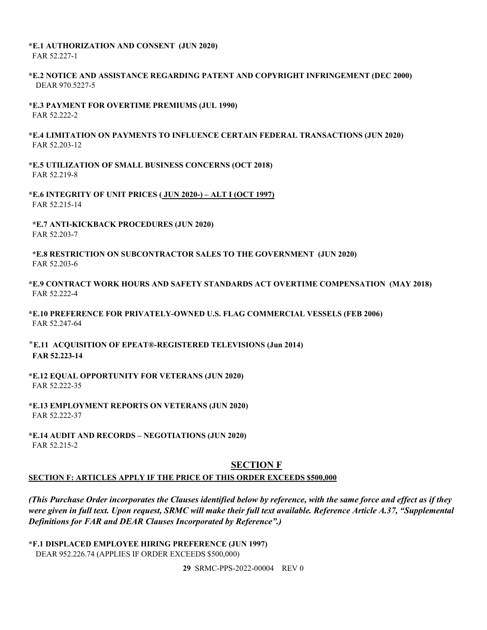#### <span id="page-28-0"></span>**\*E.1 AUTHORIZATION AND CONSENT (JUN 2020)** FAR 52.227-1

## <span id="page-28-1"></span>**\*E.2 NOTICE AND ASSISTANCE REGARDING PATENT AND COPYRIGHT INFRINGEMENT (DEC 2000)** DEAR 970.5227-5

- <span id="page-28-2"></span>**\*E.3 PAYMENT FOR OVERTIME PREMIUMS (JUL 1990)** FAR 52.222-2
- <span id="page-28-3"></span>**\*E.4 LIMITATION ON PAYMENTS TO INFLUENCE CERTAIN FEDERAL TRANSACTIONS (JUN 2020)** FAR 52.203-12
- <span id="page-28-4"></span>**\*E.5 UTILIZATION OF SMALL BUSINESS CONCERNS (OCT 2018)** FAR 52.219-8

<span id="page-28-5"></span>**\*E.6 INTEGRITY OF UNIT PRICES ( JUN 2020-) – ALT I (OCT 1997)** FAR 52.215-14

<span id="page-28-6"></span>**\*E.7 ANTI-KICKBACK PROCEDURES (JUN 2020)** FAR 52.203-7

<span id="page-28-7"></span>**\*E.8 RESTRICTION ON SUBCONTRACTOR SALES TO THE GOVERNMENT (JUN 2020)** FAR 52.203-6

- <span id="page-28-8"></span>**\*E.9 CONTRACT WORK HOURS AND SAFETY STANDARDS ACT OVERTIME COMPENSATION (MAY 2018)** FAR 52.222-4
- <span id="page-28-9"></span>**\*E.10 PREFERENCE FOR PRIVATELY-OWNED U.S. FLAG COMMERCIAL VESSELS (FEB 2006)** FAR 52.247-64

<span id="page-28-10"></span>\***E.11 ACQUISITION OF EPEAT®-REGISTERED TELEVISIONS (Jun 2014) FAR 52.223-14**

<span id="page-28-11"></span>**\*E.12 EQUAL OPPORTUNITY FOR VETERANS (JUN 2020)** FAR 52.222-35

<span id="page-28-12"></span>**\*E.13 EMPLOYMENT REPORTS ON VETERANS (JUN 2020)** FAR 52.222-37

<span id="page-28-14"></span><span id="page-28-13"></span>**\*E.14 AUDIT AND RECORDS – NEGOTIATIONS (JUN 2020)** FAR 52.215-2

# **SECTION F**

#### <span id="page-28-15"></span>**SECTION F: ARTICLES APPLY IF THE PRICE OF THIS ORDER EXCEEDS \$500,000**

*(This Purchase Order incorporates the Clauses identified below by reference, with the same force and effect as if they were given in full text. Upon request, SRMC will make their full text available. Reference Article A.37, "Supplemental Definitions for FAR and DEAR Clauses Incorporated by Reference".)*

<span id="page-28-16"></span>**\*F.1 DISPLACED EMPLOYEE HIRING PREFERENCE (JUN 1997)** DEAR 952.226.74 (APPLIES IF ORDER EXCEEDS \$500,000)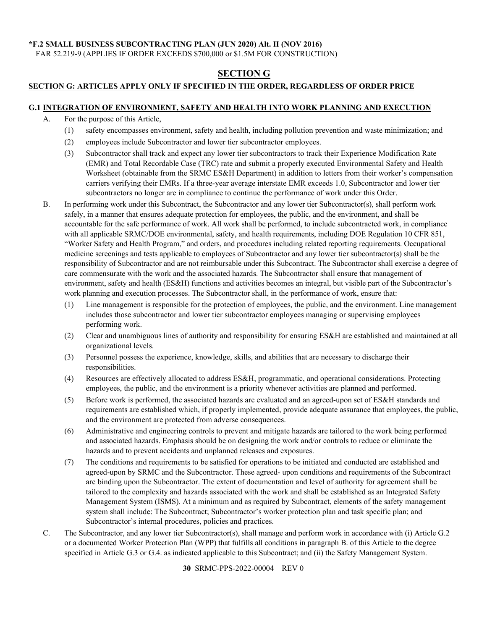#### <span id="page-29-0"></span>**\*F.2 SMALL BUSINESS SUBCONTRACTING PLAN (JUN 2020) Alt. II (NOV 2016)**

<span id="page-29-1"></span>FAR 52.219-9 (APPLIES IF ORDER EXCEEDS \$700,000 or \$1.5M FOR CONSTRUCTION)

# **SECTION G**

## <span id="page-29-2"></span>**SECTION G: ARTICLES APPLY ONLY IF SPECIFIED IN THE ORDER, REGARDLESS OF ORDER PRICE**

#### <span id="page-29-3"></span>**G.1 INTEGRATION OF ENVIRONMENT, SAFETY AND HEALTH INTO WORK PLANNING AND EXECUTION**

- A. For the purpose of this Article,
	- (1) safety encompasses environment, safety and health, including pollution prevention and waste minimization; and
	- (2) employees include Subcontractor and lower tier subcontractor employees.
	- (3) Subcontractor shall track and expect any lower tier subcontractors to track their Experience Modification Rate (EMR) and Total Recordable Case (TRC) rate and submit a properly executed Environmental Safety and Health Worksheet (obtainable from the SRMC ES&H Department) in addition to letters from their worker's compensation carriers verifying their EMRs. If a three-year average interstate EMR exceeds 1.0, Subcontractor and lower tier subcontractors no longer are in compliance to continue the performance of work under this Order.
- B. In performing work under this Subcontract, the Subcontractor and any lower tier Subcontractor(s), shall perform work safely, in a manner that ensures adequate protection for employees, the public, and the environment, and shall be accountable for the safe performance of work. All work shall be performed, to include subcontracted work, in compliance with all applicable SRMC/DOE environmental, safety, and health requirements, including DOE Regulation 10 CFR 851, "Worker Safety and Health Program," and orders, and procedures including related reporting requirements. Occupational medicine screenings and tests applicable to employees of Subcontractor and any lower tier subcontractor(s) shall be the responsibility of Subcontractor and are not reimbursable under this Subcontract. The Subcontractor shall exercise a degree of care commensurate with the work and the associated hazards. The Subcontractor shall ensure that management of environment, safety and health (ES&H) functions and activities becomes an integral, but visible part of the Subcontractor's work planning and execution processes. The Subcontractor shall, in the performance of work, ensure that:
	- (1) Line management is responsible for the protection of employees, the public, and the environment. Line management includes those subcontractor and lower tier subcontractor employees managing or supervising employees performing work.
	- (2) Clear and unambiguous lines of authority and responsibility for ensuring ES&H are established and maintained at all organizational levels.
	- (3) Personnel possess the experience, knowledge, skills, and abilities that are necessary to discharge their responsibilities.
	- (4) Resources are effectively allocated to address ES&H, programmatic, and operational considerations. Protecting employees, the public, and the environment is a priority whenever activities are planned and performed.
	- (5) Before work is performed, the associated hazards are evaluated and an agreed-upon set of ES&H standards and requirements are established which, if properly implemented, provide adequate assurance that employees, the public, and the environment are protected from adverse consequences.
	- (6) Administrative and engineering controls to prevent and mitigate hazards are tailored to the work being performed and associated hazards. Emphasis should be on designing the work and/or controls to reduce or eliminate the hazards and to prevent accidents and unplanned releases and exposures.
	- (7) The conditions and requirements to be satisfied for operations to be initiated and conducted are established and agreed-upon by SRMC and the Subcontractor. These agreed- upon conditions and requirements of the Subcontract are binding upon the Subcontractor. The extent of documentation and level of authority for agreement shall be tailored to the complexity and hazards associated with the work and shall be established as an Integrated Safety Management System (ISMS). At a minimum and as required by Subcontract, elements of the safety management system shall include: The Subcontract; Subcontractor's worker protection plan and task specific plan; and Subcontractor's internal procedures, policies and practices.
- C. The Subcontractor, and any lower tier Subcontractor(s), shall manage and perform work in accordance with (i) Article G.2 or a documented Worker Protection Plan (WPP) that fulfills all conditions in paragraph B. of this Article to the degree specified in Article G.3 or G.4. as indicated applicable to this Subcontract; and (ii) the Safety Management System.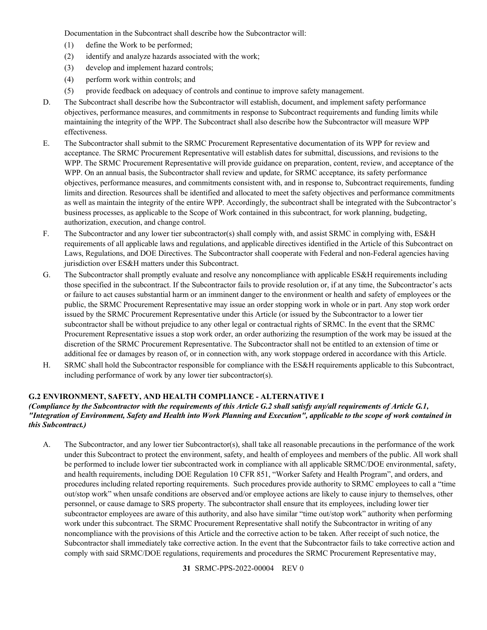Documentation in the Subcontract shall describe how the Subcontractor will:

- (1) define the Work to be performed;
- (2) identify and analyze hazards associated with the work;
- (3) develop and implement hazard controls;
- (4) perform work within controls; and
- (5) provide feedback on adequacy of controls and continue to improve safety management.
- D. The Subcontract shall describe how the Subcontractor will establish, document, and implement safety performance objectives, performance measures, and commitments in response to Subcontract requirements and funding limits while maintaining the integrity of the WPP. The Subcontract shall also describe how the Subcontractor will measure WPP effectiveness.
- E. The Subcontractor shall submit to the SRMC Procurement Representative documentation of its WPP for review and acceptance. The SRMC Procurement Representative will establish dates for submittal, discussions, and revisions to the WPP. The SRMC Procurement Representative will provide guidance on preparation, content, review, and acceptance of the WPP. On an annual basis, the Subcontractor shall review and update, for SRMC acceptance, its safety performance objectives, performance measures, and commitments consistent with, and in response to, Subcontract requirements, funding limits and direction. Resources shall be identified and allocated to meet the safety objectives and performance commitments as well as maintain the integrity of the entire WPP. Accordingly, the subcontract shall be integrated with the Subcontractor's business processes, as applicable to the Scope of Work contained in this subcontract, for work planning, budgeting, authorization, execution, and change control.
- F. The Subcontractor and any lower tier subcontractor(s) shall comply with, and assist SRMC in complying with, ES&H requirements of all applicable laws and regulations, and applicable directives identified in the Article of this Subcontract on Laws, Regulations, and DOE Directives. The Subcontractor shall cooperate with Federal and non-Federal agencies having jurisdiction over ES&H matters under this Subcontract.
- G. The Subcontractor shall promptly evaluate and resolve any noncompliance with applicable ES&H requirements including those specified in the subcontract. If the Subcontractor fails to provide resolution or, if at any time, the Subcontractor's acts or failure to act causes substantial harm or an imminent danger to the environment or health and safety of employees or the public, the SRMC Procurement Representative may issue an order stopping work in whole or in part. Any stop work order issued by the SRMC Procurement Representative under this Article (or issued by the Subcontractor to a lower tier subcontractor shall be without prejudice to any other legal or contractual rights of SRMC. In the event that the SRMC Procurement Representative issues a stop work order, an order authorizing the resumption of the work may be issued at the discretion of the SRMC Procurement Representative. The Subcontractor shall not be entitled to an extension of time or additional fee or damages by reason of, or in connection with, any work stoppage ordered in accordance with this Article.
- H. SRMC shall hold the Subcontractor responsible for compliance with the ES&H requirements applicable to this Subcontract, including performance of work by any lower tier subcontractor(s).

## <span id="page-30-0"></span>**G.2 ENVIRONMENT, SAFETY, AND HEALTH COMPLIANCE - ALTERNATIVE I**

## *(Compliance by the Subcontractor with the requirements of this Article G.2 shall satisfy any/all requirements of Article G.1, "Integration of Environment, Safety and Health into Work Planning and Execution", applicable to the scope of work contained in this Subcontract.)*

A. The Subcontractor, and any lower tier Subcontractor(s), shall take all reasonable precautions in the performance of the work under this Subcontract to protect the environment, safety, and health of employees and members of the public. All work shall be performed to include lower tier subcontracted work in compliance with all applicable SRMC/DOE environmental, safety, and health requirements, including DOE Regulation 10 CFR 851, "Worker Safety and Health Program", and orders, and procedures including related reporting requirements. Such procedures provide authority to SRMC employees to call a "time out/stop work" when unsafe conditions are observed and/or employee actions are likely to cause injury to themselves, other personnel, or cause damage to SRS property. The subcontractor shall ensure that its employees, including lower tier subcontractor employees are aware of this authority, and also have similar "time out/stop work" authority when performing work under this subcontract. The SRMC Procurement Representative shall notify the Subcontractor in writing of any noncompliance with the provisions of this Article and the corrective action to be taken. After receipt of such notice, the Subcontractor shall immediately take corrective action. In the event that the Subcontractor fails to take corrective action and comply with said SRMC/DOE regulations, requirements and procedures the SRMC Procurement Representative may,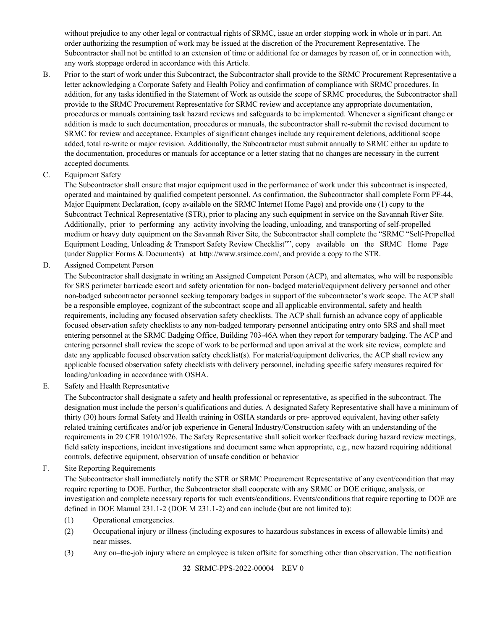without prejudice to any other legal or contractual rights of SRMC, issue an order stopping work in whole or in part. An order authorizing the resumption of work may be issued at the discretion of the Procurement Representative. The Subcontractor shall not be entitled to an extension of time or additional fee or damages by reason of, or in connection with, any work stoppage ordered in accordance with this Article.

- B. Prior to the start of work under this Subcontract, the Subcontractor shall provide to the SRMC Procurement Representative a letter acknowledging a Corporate Safety and Health Policy and confirmation of compliance with SRMC procedures. In addition, for any tasks identified in the Statement of Work as outside the scope of SRMC procedures, the Subcontractor shall provide to the SRMC Procurement Representative for SRMC review and acceptance any appropriate documentation, procedures or manuals containing task hazard reviews and safeguards to be implemented. Whenever a significant change or addition is made to such documentation, procedures or manuals, the subcontractor shall re-submit the revised document to SRMC for review and acceptance. Examples of significant changes include any requirement deletions, additional scope added, total re-write or major revision. Additionally, the Subcontractor must submit annually to SRMC either an update to the documentation, procedures or manuals for acceptance or a letter stating that no changes are necessary in the current accepted documents.
- C. Equipment Safety

The Subcontractor shall ensure that major equipment used in the performance of work under this subcontract is inspected, operated and maintained by qualified competent personnel. As confirmation, the Subcontractor shall complete Form PF-44, Major Equipment Declaration, (copy available on the SRMC Internet Home Page) and provide one (1) copy to the Subcontract Technical Representative (STR), prior to placing any such equipment in service on the Savannah River Site. Additionally, prior to performing any activity involving the loading, unloading, and transporting of self-propelled medium or heavy duty equipment on the Savannah River Site, the Subcontractor shall complete the "SRMC "Self-Propelled Equipment Loading, Unloading & Transport Safety Review Checklist"", copy available on the SRMC Home Page (under Supplier Forms & Documents) at [http://www.srsimcc.com/,](http://www.srsimcc.com/) and provide a copy to the STR.

D. Assigned Competent Person

The Subcontractor shall designate in writing an Assigned Competent Person (ACP), and alternates, who will be responsible for SRS perimeter barricade escort and safety orientation for non- badged material/equipment delivery personnel and other non-badged subcontractor personnel seeking temporary badges in support of the subcontractor's work scope. The ACP shall be a responsible employee, cognizant of the subcontract scope and all applicable environmental, safety and health requirements, including any focused observation safety checklists. The ACP shall furnish an advance copy of applicable focused observation safety checklists to any non-badged temporary personnel anticipating entry onto SRS and shall meet entering personnel at the SRMC Badging Office, Building 703-46A when they report for temporary badging. The ACP and entering personnel shall review the scope of work to be performed and upon arrival at the work site review, complete and date any applicable focused observation safety checklist(s). For material/equipment deliveries, the ACP shall review any applicable focused observation safety checklists with delivery personnel, including specific safety measures required for loading/unloading in accordance with OSHA.

E. Safety and Health Representative

The Subcontractor shall designate a safety and health professional or representative, as specified in the subcontract. The designation must include the person's qualifications and duties. A designated Safety Representative shall have a minimum of thirty (30) hours formal Safety and Health training in OSHA standards or pre- approved equivalent, having other safety related training certificates and/or job experience in General Industry/Construction safety with an understanding of the requirements in 29 CFR 1910/1926. The Safety Representative shall solicit worker feedback during hazard review meetings, field safety inspections, incident investigations and document same when appropriate, e.g., new hazard requiring additional controls, defective equipment, observation of unsafe condition or behavior

F. Site Reporting Requirements

The Subcontractor shall immediately notify the STR or SRMC Procurement Representative of any event/condition that may require reporting to DOE. Further, the Subcontractor shall cooperate with any SRMC or DOE critique, analysis, or investigation and complete necessary reports for such events/conditions. Events/conditions that require reporting to DOE are defined in DOE Manual 231.1-2 (DOE M 231.1-2) and can include (but are not limited to):

- (1) Operational emergencies.
- (2) Occupational injury or illness (including exposures to hazardous substances in excess of allowable limits) and near misses.
- (3) Any on–the-job injury where an employee is taken offsite for something other than observation. The notification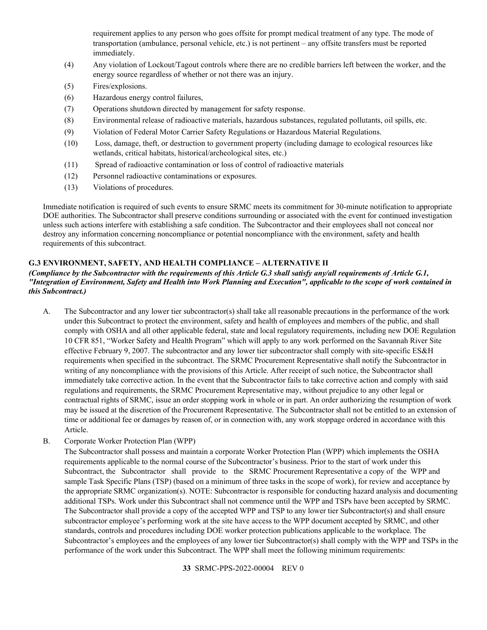requirement applies to any person who goes offsite for prompt medical treatment of any type. The mode of transportation (ambulance, personal vehicle, etc.) is not pertinent – any offsite transfers must be reported immediately.

- (4) Any violation of Lockout/Tagout controls where there are no credible barriers left between the worker, and the energy source regardless of whether or not there was an injury.
- (5) Fires/explosions.
- (6) Hazardous energy control failures,
- (7) Operations shutdown directed by management for safety response.
- (8) Environmental release of radioactive materials, hazardous substances, regulated pollutants, oil spills, etc.
- (9) Violation of Federal Motor Carrier Safety Regulations or Hazardous Material Regulations.
- (10) Loss, damage, theft, or destruction to government property (including damage to ecological resources like wetlands, critical habitats, historical/archeological sites, etc.)
- (11) Spread of radioactive contamination or loss of control of radioactive materials
- (12) Personnel radioactive contaminations or exposures.
- (13) Violations of procedures.

Immediate notification is required of such events to ensure SRMC meets its commitment for 30-minute notification to appropriate DOE authorities. The Subcontractor shall preserve conditions surrounding or associated with the event for continued investigation unless such actions interfere with establishing a safe condition. The Subcontractor and their employees shall not conceal nor destroy any information concerning noncompliance or potential noncompliance with the environment, safety and health requirements of this subcontract.

## <span id="page-32-0"></span>**G.3 ENVIRONMENT, SAFETY, AND HEALTH COMPLIANCE – ALTERNATIVE II**

#### *(Compliance by the Subcontractor with the requirements of this Article G.3 shall satisfy any/all requirements of Article G.1, "Integration of Environment, Safety and Health into Work Planning and Execution", applicable to the scope of work contained in this Subcontract.)*

- A. The Subcontractor and any lower tier subcontractor(s) shall take all reasonable precautions in the performance of the work under this Subcontract to protect the environment, safety and health of employees and members of the public, and shall comply with OSHA and all other applicable federal, state and local regulatory requirements, including new DOE Regulation 10 CFR 851, "Worker Safety and Health Program" which will apply to any work performed on the Savannah River Site effective February 9, 2007. The subcontractor and any lower tier subcontractor shall comply with site-specific ES&H requirements when specified in the subcontract. The SRMC Procurement Representative shall notify the Subcontractor in writing of any noncompliance with the provisions of this Article. After receipt of such notice, the Subcontractor shall immediately take corrective action. In the event that the Subcontractor fails to take corrective action and comply with said regulations and requirements, the SRMC Procurement Representative may, without prejudice to any other legal or contractual rights of SRMC, issue an order stopping work in whole or in part. An order authorizing the resumption of work may be issued at the discretion of the Procurement Representative. The Subcontractor shall not be entitled to an extension of time or additional fee or damages by reason of, or in connection with, any work stoppage ordered in accordance with this Article.
- B. Corporate Worker Protection Plan (WPP)

The Subcontractor shall possess and maintain a corporate Worker Protection Plan (WPP) which implements the OSHA requirements applicable to the normal course of the Subcontractor's business. Prior to the start of work under this Subcontract, the Subcontractor shall provide to the SRMC Procurement Representative a copy of the WPP and sample Task Specific Plans (TSP) (based on a minimum of three tasks in the scope of work), for review and acceptance by the appropriate SRMC organization(s). NOTE: Subcontractor is responsible for conducting hazard analysis and documenting additional TSPs. Work under this Subcontract shall not commence until the WPP and TSPs have been accepted by SRMC. The Subcontractor shall provide a copy of the accepted WPP and TSP to any lower tier Subcontractor(s) and shall ensure subcontractor employee's performing work at the site have access to the WPP document accepted by SRMC, and other standards, controls and procedures including DOE worker protection publications applicable to the workplace. The Subcontractor's employees and the employees of any lower tier Subcontractor(s) shall comply with the WPP and TSPs in the performance of the work under this Subcontract. The WPP shall meet the following minimum requirements: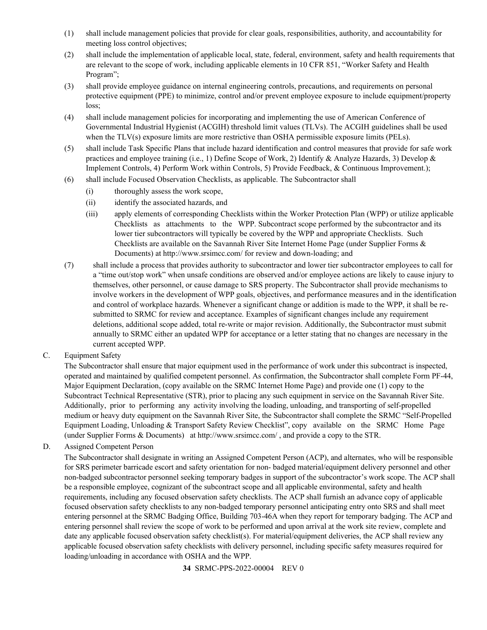- (1) shall include management policies that provide for clear goals, responsibilities, authority, and accountability for meeting loss control objectives;
- (2) shall include the implementation of applicable local, state, federal, environment, safety and health requirements that are relevant to the scope of work, including applicable elements in 10 CFR 851, "Worker Safety and Health Program";
- (3) shall provide employee guidance on internal engineering controls, precautions, and requirements on personal protective equipment (PPE) to minimize, control and/or prevent employee exposure to include equipment/property loss;
- (4) shall include management policies for incorporating and implementing the use of American Conference of Governmental Industrial Hygienist (ACGIH) threshold limit values (TLVs). The ACGIH guidelines shall be used when the TLV(s) exposure limits are more restrictive than OSHA permissible exposure limits (PELs).
- (5) shall include Task Specific Plans that include hazard identification and control measures that provide for safe work practices and employee training (i.e., 1) Define Scope of Work, 2) Identify & Analyze Hazards, 3) Develop & Implement Controls, 4) Perform Work within Controls, 5) Provide Feedback, & Continuous Improvement.);
- (6) shall include Focused Observation Checklists, as applicable. The Subcontractor shall
	- (i) thoroughly assess the work scope,
	- (ii) identify the associated hazards, and
	- (iii) apply elements of corresponding Checklists within the Worker Protection Plan (WPP) or utilize applicable Checklists as attachments to the WPP. Subcontract scope performed by the subcontractor and its lower tier subcontractors will typically be covered by the WPP and appropriate Checklists. Such Checklists are available on the Savannah River Site Internet Home Page (under Supplier Forms & Documents) at<http://www.srsimcc.com/> for review and down-loading; and
- (7) shall include a process that provides authority to subcontractor and lower tier subcontractor employees to call for a "time out/stop work" when unsafe conditions are observed and/or employee actions are likely to cause injury to themselves, other personnel, or cause damage to SRS property. The Subcontractor shall provide mechanisms to involve workers in the development of WPP goals, objectives, and performance measures and in the identification and control of workplace hazards. Whenever a significant change or addition is made to the WPP, it shall be resubmitted to SRMC for review and acceptance. Examples of significant changes include any requirement deletions, additional scope added, total re-write or major revision. Additionally, the Subcontractor must submit annually to SRMC either an updated WPP for acceptance or a letter stating that no changes are necessary in the current accepted WPP.
- C. Equipment Safety

The Subcontractor shall ensure that major equipment used in the performance of work under this subcontract is inspected, operated and maintained by qualified competent personnel. As confirmation, the Subcontractor shall complete Form PF-44, Major Equipment Declaration, (copy available on the SRMC Internet Home Page) and provide one (1) copy to the Subcontract Technical Representative (STR), prior to placing any such equipment in service on the Savannah River Site. Additionally, prior to performing any activity involving the loading, unloading, and transporting of self-propelled medium or heavy duty equipment on the Savannah River Site, the Subcontractor shall complete the SRMC "Self-Propelled Equipment Loading, Unloading & Transport Safety Review Checklist", copy available on the SRMC Home Page (under Supplier Forms & Documents) a[t http://www.srsimcc.com/](http://www.srsimcc.com/) , and provide a copy to the STR.

D. Assigned Competent Person

The Subcontractor shall designate in writing an Assigned Competent Person (ACP), and alternates, who will be responsible for SRS perimeter barricade escort and safety orientation for non- badged material/equipment delivery personnel and other non-badged subcontractor personnel seeking temporary badges in support of the subcontractor's work scope. The ACP shall be a responsible employee, cognizant of the subcontract scope and all applicable environmental, safety and health requirements, including any focused observation safety checklists. The ACP shall furnish an advance copy of applicable focused observation safety checklists to any non-badged temporary personnel anticipating entry onto SRS and shall meet entering personnel at the SRMC Badging Office, Building 703-46A when they report for temporary badging. The ACP and entering personnel shall review the scope of work to be performed and upon arrival at the work site review, complete and date any applicable focused observation safety checklist(s). For material/equipment deliveries, the ACP shall review any applicable focused observation safety checklists with delivery personnel, including specific safety measures required for loading/unloading in accordance with OSHA and the WPP.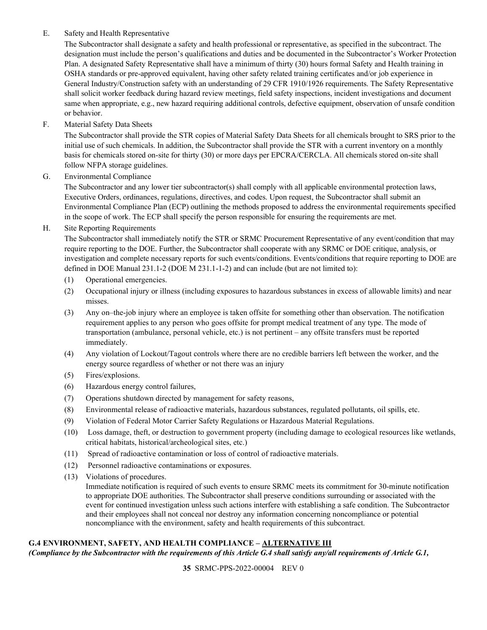## E. Safety and Health Representative

The Subcontractor shall designate a safety and health professional or representative, as specified in the subcontract. The designation must include the person's qualifications and duties and be documented in the Subcontractor's Worker Protection Plan. A designated Safety Representative shall have a minimum of thirty (30) hours formal Safety and Health training in OSHA standards or pre-approved equivalent, having other safety related training certificates and/or job experience in General Industry/Construction safety with an understanding of 29 CFR 1910/1926 requirements. The Safety Representative shall solicit worker feedback during hazard review meetings, field safety inspections, incident investigations and document same when appropriate, e.g., new hazard requiring additional controls, defective equipment, observation of unsafe condition or behavior.

F. Material Safety Data Sheets

The Subcontractor shall provide the STR copies of Material Safety Data Sheets for all chemicals brought to SRS prior to the initial use of such chemicals. In addition, the Subcontractor shall provide the STR with a current inventory on a monthly basis for chemicals stored on-site for thirty (30) or more days per EPCRA/CERCLA. All chemicals stored on-site shall follow NFPA storage guidelines.

G. Environmental Compliance

The Subcontractor and any lower tier subcontractor(s) shall comply with all applicable environmental protection laws, Executive Orders, ordinances, regulations, directives, and codes. Upon request, the Subcontractor shall submit an Environmental Compliance Plan (ECP) outlining the methods proposed to address the environmental requirements specified in the scope of work. The ECP shall specify the person responsible for ensuring the requirements are met.

# H. Site Reporting Requirements

The Subcontractor shall immediately notify the STR or SRMC Procurement Representative of any event/condition that may require reporting to the DOE. Further, the Subcontractor shall cooperate with any SRMC or DOE critique, analysis, or investigation and complete necessary reports for such events/conditions. Events/conditions that require reporting to DOE are defined in DOE Manual 231.1-2 (DOE M 231.1-1-2) and can include (but are not limited to):

- (1) Operational emergencies.
- (2) Occupational injury or illness (including exposures to hazardous substances in excess of allowable limits) and near misses.
- (3) Any on–the-job injury where an employee is taken offsite for something other than observation. The notification requirement applies to any person who goes offsite for prompt medical treatment of any type. The mode of transportation (ambulance, personal vehicle, etc.) is not pertinent – any offsite transfers must be reported immediately.
- (4) Any violation of Lockout/Tagout controls where there are no credible barriers left between the worker, and the energy source regardless of whether or not there was an injury
- (5) Fires/explosions.
- (6) Hazardous energy control failures,
- (7) Operations shutdown directed by management for safety reasons,
- (8) Environmental release of radioactive materials, hazardous substances, regulated pollutants, oil spills, etc.
- (9) Violation of Federal Motor Carrier Safety Regulations or Hazardous Material Regulations.
- (10) Loss damage, theft, or destruction to government property (including damage to ecological resources like wetlands, critical habitats, historical/archeological sites, etc.)
- (11) Spread of radioactive contamination or loss of control of radioactive materials.
- (12) Personnel radioactive contaminations or exposures.
- (13) Violations of procedures.

Immediate notification is required of such events to ensure SRMC meets its commitment for 30-minute notification to appropriate DOE authorities. The Subcontractor shall preserve conditions surrounding or associated with the event for continued investigation unless such actions interfere with establishing a safe condition. The Subcontractor and their employees shall not conceal nor destroy any information concerning noncompliance or potential noncompliance with the environment, safety and health requirements of this subcontract.

## <span id="page-34-0"></span>**G.4 ENVIRONMENT, SAFETY, AND HEALTH COMPLIANCE – ALTERNATIVE III**

*(Compliance by the Subcontractor with the requirements of this Article G.4 shall satisfy any/all requirements of Article G.1,*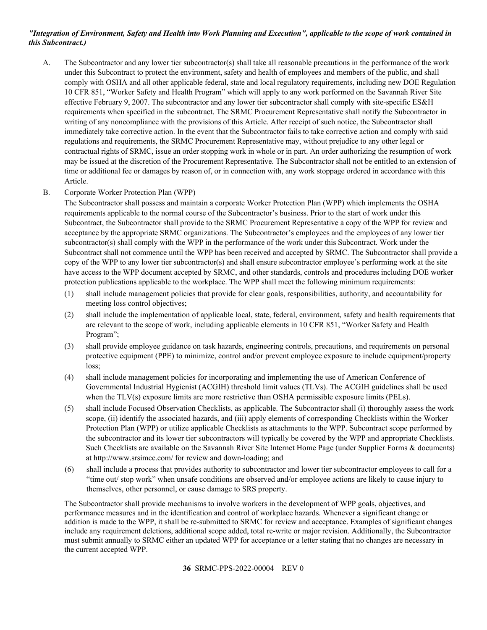## *"Integration of Environment, Safety and Health into Work Planning and Execution", applicable to the scope of work contained in this Subcontract.)*

A. The Subcontractor and any lower tier subcontractor(s) shall take all reasonable precautions in the performance of the work under this Subcontract to protect the environment, safety and health of employees and members of the public, and shall comply with OSHA and all other applicable federal, state and local regulatory requirements, including new DOE Regulation 10 CFR 851, "Worker Safety and Health Program" which will apply to any work performed on the Savannah River Site effective February 9, 2007. The subcontractor and any lower tier subcontractor shall comply with site-specific ES&H requirements when specified in the subcontract. The SRMC Procurement Representative shall notify the Subcontractor in writing of any noncompliance with the provisions of this Article. After receipt of such notice, the Subcontractor shall immediately take corrective action. In the event that the Subcontractor fails to take corrective action and comply with said regulations and requirements, the SRMC Procurement Representative may, without prejudice to any other legal or contractual rights of SRMC, issue an order stopping work in whole or in part. An order authorizing the resumption of work may be issued at the discretion of the Procurement Representative. The Subcontractor shall not be entitled to an extension of time or additional fee or damages by reason of, or in connection with, any work stoppage ordered in accordance with this Article.

## B. Corporate Worker Protection Plan (WPP)

The Subcontractor shall possess and maintain a corporate Worker Protection Plan (WPP) which implements the OSHA requirements applicable to the normal course of the Subcontractor's business. Prior to the start of work under this Subcontract, the Subcontractor shall provide to the SRMC Procurement Representative a copy of the WPP for review and acceptance by the appropriate SRMC organizations. The Subcontractor's employees and the employees of any lower tier subcontractor(s) shall comply with the WPP in the performance of the work under this Subcontract. Work under the Subcontract shall not commence until the WPP has been received and accepted by SRMC. The Subcontractor shall provide a copy of the WPP to any lower tier subcontractor(s) and shall ensure subcontractor employee's performing work at the site have access to the WPP document accepted by SRMC, and other standards, controls and procedures including DOE worker protection publications applicable to the workplace. The WPP shall meet the following minimum requirements:

- (1) shall include management policies that provide for clear goals, responsibilities, authority, and accountability for meeting loss control objectives;
- (2) shall include the implementation of applicable local, state, federal, environment, safety and health requirements that are relevant to the scope of work, including applicable elements in 10 CFR 851, "Worker Safety and Health Program";
- (3) shall provide employee guidance on task hazards, engineering controls, precautions, and requirements on personal protective equipment (PPE) to minimize, control and/or prevent employee exposure to include equipment/property loss;
- (4) shall include management policies for incorporating and implementing the use of American Conference of Governmental Industrial Hygienist (ACGIH) threshold limit values (TLVs). The ACGIH guidelines shall be used when the TLV(s) exposure limits are more restrictive than OSHA permissible exposure limits (PELs).
- (5) shall include Focused Observation Checklists, as applicable. The Subcontractor shall (i) thoroughly assess the work scope, (ii) identify the associated hazards, and (iii) apply elements of corresponding Checklists within the Worker Protection Plan (WPP) or utilize applicable Checklists as attachments to the WPP. Subcontract scope performed by the subcontractor and its lower tier subcontractors will typically be covered by the WPP and appropriate Checklists. Such Checklists are available on the Savannah River Site Internet Home Page (under Supplier Forms & documents) at <http://www.srsimcc.com/> for review and down-loading; and
- (6) shall include a process that provides authority to subcontractor and lower tier subcontractor employees to call for a "time out/ stop work" when unsafe conditions are observed and/or employee actions are likely to cause injury to themselves, other personnel, or cause damage to SRS property.

The Subcontractor shall provide mechanisms to involve workers in the development of WPP goals, objectives, and performance measures and in the identification and control of workplace hazards. Whenever a significant change or addition is made to the WPP, it shall be re-submitted to SRMC for review and acceptance. Examples of significant changes include any requirement deletions, additional scope added, total re-write or major revision. Additionally, the Subcontractor must submit annually to SRMC either an updated WPP for acceptance or a letter stating that no changes are necessary in the current accepted WPP.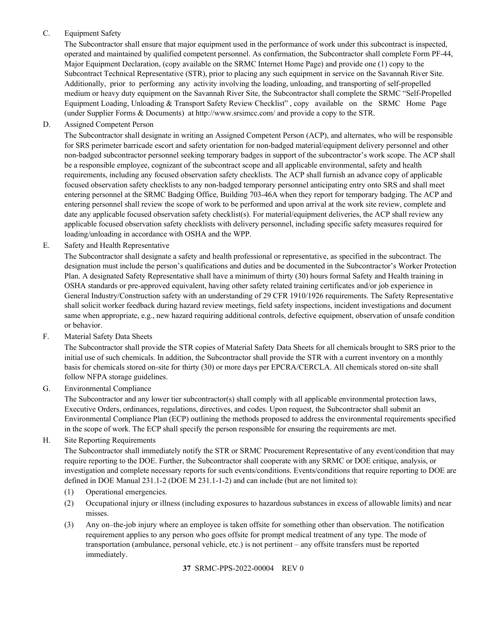# C. Equipment Safety

The Subcontractor shall ensure that major equipment used in the performance of work under this subcontract is inspected, operated and maintained by qualified competent personnel. As confirmation, the Subcontractor shall complete Form PF-44, Major Equipment Declaration, (copy available on the SRMC Internet Home Page) and provide one (1) copy to the Subcontract Technical Representative (STR), prior to placing any such equipment in service on the Savannah River Site. Additionally, prior to performing any activity involving the loading, unloading, and transporting of self-propelled medium or heavy duty equipment on the Savannah River Site, the Subcontractor shall complete the SRMC "Self-Propelled Equipment Loading, Unloading & Transport Safety Review Checklist" , copy available on the SRMC Home Page (under Supplier Forms & Documents) at<http://www.srsimcc.com/> and provide a copy to the STR.

D. Assigned Competent Person

The Subcontractor shall designate in writing an Assigned Competent Person (ACP), and alternates, who will be responsible for SRS perimeter barricade escort and safety orientation for non-badged material/equipment delivery personnel and other non-badged subcontractor personnel seeking temporary badges in support of the subcontractor's work scope. The ACP shall be a responsible employee, cognizant of the subcontract scope and all applicable environmental, safety and health requirements, including any focused observation safety checklists. The ACP shall furnish an advance copy of applicable focused observation safety checklists to any non-badged temporary personnel anticipating entry onto SRS and shall meet entering personnel at the SRMC Badging Office, Building 703-46A when they report for temporary badging. The ACP and entering personnel shall review the scope of work to be performed and upon arrival at the work site review, complete and date any applicable focused observation safety checklist(s). For material/equipment deliveries, the ACP shall review any applicable focused observation safety checklists with delivery personnel, including specific safety measures required for loading/unloading in accordance with OSHA and the WPP.

E. Safety and Health Representative

The Subcontractor shall designate a safety and health professional or representative, as specified in the subcontract. The designation must include the person's qualifications and duties and be documented in the Subcontractor's Worker Protection Plan. A designated Safety Representative shall have a minimum of thirty (30) hours formal Safety and Health training in OSHA standards or pre-approved equivalent, having other safety related training certificates and/or job experience in General Industry/Construction safety with an understanding of 29 CFR 1910/1926 requirements. The Safety Representative shall solicit worker feedback during hazard review meetings, field safety inspections, incident investigations and document same when appropriate, e.g., new hazard requiring additional controls, defective equipment, observation of unsafe condition or behavior.

F. Material Safety Data Sheets

The Subcontractor shall provide the STR copies of Material Safety Data Sheets for all chemicals brought to SRS prior to the initial use of such chemicals. In addition, the Subcontractor shall provide the STR with a current inventory on a monthly basis for chemicals stored on-site for thirty (30) or more days per EPCRA/CERCLA. All chemicals stored on-site shall follow NFPA storage guidelines.

G. Environmental Compliance

The Subcontractor and any lower tier subcontractor(s) shall comply with all applicable environmental protection laws, Executive Orders, ordinances, regulations, directives, and codes. Upon request, the Subcontractor shall submit an Environmental Compliance Plan (ECP) outlining the methods proposed to address the environmental requirements specified in the scope of work. The ECP shall specify the person responsible for ensuring the requirements are met.

H. Site Reporting Requirements

The Subcontractor shall immediately notify the STR or SRMC Procurement Representative of any event/condition that may require reporting to the DOE. Further, the Subcontractor shall cooperate with any SRMC or DOE critique, analysis, or investigation and complete necessary reports for such events/conditions. Events/conditions that require reporting to DOE are defined in DOE Manual 231.1-2 (DOE M 231.1-1-2) and can include (but are not limited to):

- (1) Operational emergencies.
- (2) Occupational injury or illness (including exposures to hazardous substances in excess of allowable limits) and near misses.
- (3) Any on–the-job injury where an employee is taken offsite for something other than observation. The notification requirement applies to any person who goes offsite for prompt medical treatment of any type. The mode of transportation (ambulance, personal vehicle, etc.) is not pertinent – any offsite transfers must be reported immediately.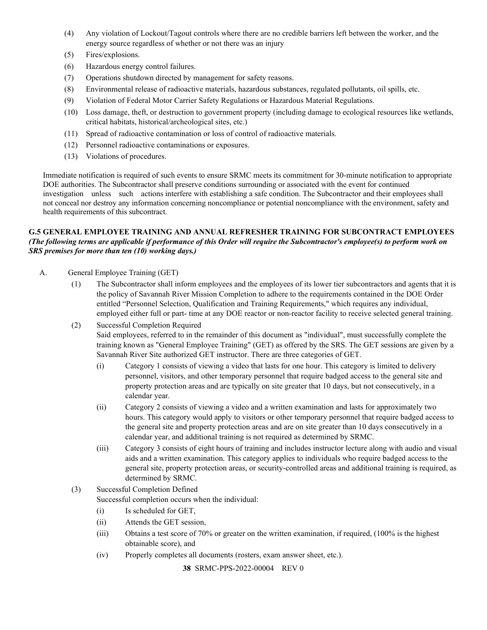- (4) Any violation of Lockout/Tagout controls where there are no credible barriers left between the worker, and the energy source regardless of whether or not there was an injury
- (5) Fires/explosions.
- (6) Hazardous energy control failures.
- (7) Operations shutdown directed by management for safety reasons.
- (8) Environmental release of radioactive materials, hazardous substances, regulated pollutants, oil spills, etc.
- (9) Violation of Federal Motor Carrier Safety Regulations or Hazardous Material Regulations.
- (10) Loss damage, theft, or destruction to government property (including damage to ecological resources like wetlands, critical habitats, historical/archeological sites, etc.)
- (11) Spread of radioactive contamination or loss of control of radioactive materials.
- (12) Personnel radioactive contaminations or exposures.
- (13) Violations of procedures.

Immediate notification is required of such events to ensure SRMC meets its commitment for 30-minute notification to appropriate DOE authorities. The Subcontractor shall preserve conditions surrounding or associated with the event for continued investigation unless such actions interfere with establishing a safe condition. The Subcontractor and their employees shall not conceal nor destroy any information concerning noncompliance or potential noncompliance with the environment, safety and health requirements of this subcontract.

## <span id="page-37-0"></span>**G.5 GENERAL EMPLOYEE TRAINING AND ANNUAL REFRESHER TRAINING FOR SUBCONTRACT EMPLOYEES** *(The following terms are applicable if performance of this Order will require the Subcontractor's employee(s) to perform work on SRS premises for more than ten (10) working days.)*

- A. General Employee Training (GET)
	- (1) The Subcontractor shall inform employees and the employees of its lower tier subcontractors and agents that it is the policy of Savannah River Mission Completion to adhere to the requirements contained in the DOE Order entitled "Personnel Selection, Qualification and Training Requirements," which requires any individual, employed either full or part- time at any DOE reactor or non-reactor facility to receive selected general training.
	- (2) Successful Completion Required Said employees, referred to in the remainder of this document as "individual", must successfully complete the training known as "General Employee Training" (GET) as offered by the SRS. The GET sessions are given by a Savannah River Site authorized GET instructor. There are three categories of GET.
		- (i) Category 1 consists of viewing a video that lasts for one hour. This category is limited to delivery personnel, visitors, and other temporary personnel that require badged access to the general site and property protection areas and are typically on site greater that 10 days, but not consecutively, in a calendar year.
		- (ii) Category 2 consists of viewing a video and a written examination and lasts for approximately two hours. This category would apply to visitors or other temporary personnel that require badged access to the general site and property protection areas and are on site greater than 10 days consecutively in a calendar year, and additional training is not required as determined by SRMC.
		- (iii) Category 3 consists of eight hours of training and includes instructor lecture along with audio and visual aids and a written examination. This category applies to individuals who require badged access to the general site, property protection areas, or security-controlled areas and additional training is required, as determined by SRMC.
	- (3) Successful Completion Defined Successful completion occurs when the individual:
		- (i) Is scheduled for GET,
		- (ii) Attends the GET session,
		- (iii) Obtains a test score of 70% or greater on the written examination, if required, (100% is the highest obtainable score), and
		- (iv) Properly completes all documents (rosters, exam answer sheet, etc.).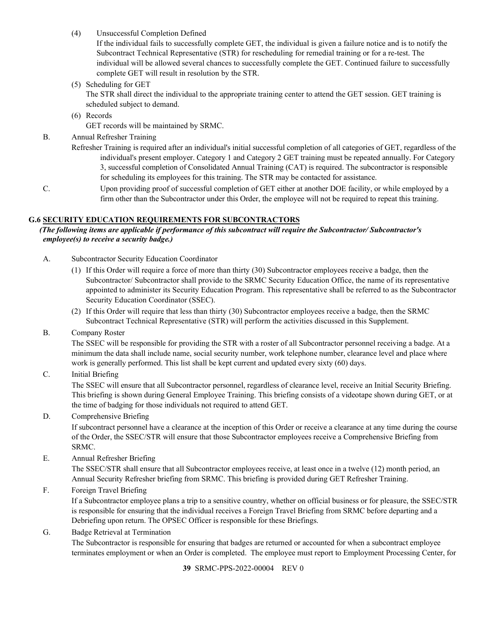(4) Unsuccessful Completion Defined

If the individual fails to successfully complete GET, the individual is given a failure notice and is to notify the Subcontract Technical Representative (STR) for rescheduling for remedial training or for a re-test. The individual will be allowed several chances to successfully complete the GET. Continued failure to successfully complete GET will result in resolution by the STR.

(5) Scheduling for GET

The STR shall direct the individual to the appropriate training center to attend the GET session. GET training is scheduled subject to demand.

(6) Records

GET records will be maintained by SRMC.

- B. Annual Refresher Training
	- Refresher Training is required after an individual's initial successful completion of all categories of GET, regardless of the individual's present employer. Category 1 and Category 2 GET training must be repeated annually. For Category 3, successful completion of Consolidated Annual Training (CAT) is required. The subcontractor is responsible for scheduling its employees for this training. The STR may be contacted for assistance.
- C. Upon providing proof of successful completion of GET either at another DOE facility, or while employed by a firm other than the Subcontractor under this Order, the employee will not be required to repeat this training.

#### <span id="page-38-0"></span>**G.6 SECURITY EDUCATION REQUIREMENTS FOR SUBCONTRACTORS**

## *(The following items are applicable if performance of this subcontract will require the Subcontractor/ Subcontractor's employee(s) to receive a security badge.)*

- A. Subcontractor Security Education Coordinator
	- (1) If this Order will require a force of more than thirty (30) Subcontractor employees receive a badge, then the Subcontractor/ Subcontractor shall provide to the SRMC Security Education Office, the name of its representative appointed to administer its Security Education Program. This representative shall be referred to as the Subcontractor Security Education Coordinator (SSEC).
	- (2) If this Order will require that less than thirty (30) Subcontractor employees receive a badge, then the SRMC Subcontract Technical Representative (STR) will perform the activities discussed in this Supplement.
- B. Company Roster

The SSEC will be responsible for providing the STR with a roster of all Subcontractor personnel receiving a badge. At a minimum the data shall include name, social security number, work telephone number, clearance level and place where work is generally performed. This list shall be kept current and updated every sixty (60) days.

C. Initial Briefing

The SSEC will ensure that all Subcontractor personnel, regardless of clearance level, receive an Initial Security Briefing. This briefing is shown during General Employee Training. This briefing consists of a videotape shown during GET, or at the time of badging for those individuals not required to attend GET.

## D. Comprehensive Briefing

If subcontract personnel have a clearance at the inception of this Order or receive a clearance at any time during the course of the Order, the SSEC/STR will ensure that those Subcontractor employees receive a Comprehensive Briefing from SRMC.

E. Annual Refresher Briefing

The SSEC/STR shall ensure that all Subcontractor employees receive, at least once in a twelve (12) month period, an Annual Security Refresher briefing from SRMC. This briefing is provided during GET Refresher Training.

F. Foreign Travel Briefing

If a Subcontractor employee plans a trip to a sensitive country, whether on official business or for pleasure, the SSEC/STR is responsible for ensuring that the individual receives a Foreign Travel Briefing from SRMC before departing and a Debriefing upon return. The OPSEC Officer is responsible for these Briefings.

G. Badge Retrieval at Termination

The Subcontractor is responsible for ensuring that badges are returned or accounted for when a subcontract employee terminates employment or when an Order is completed. The employee must report to Employment Processing Center, for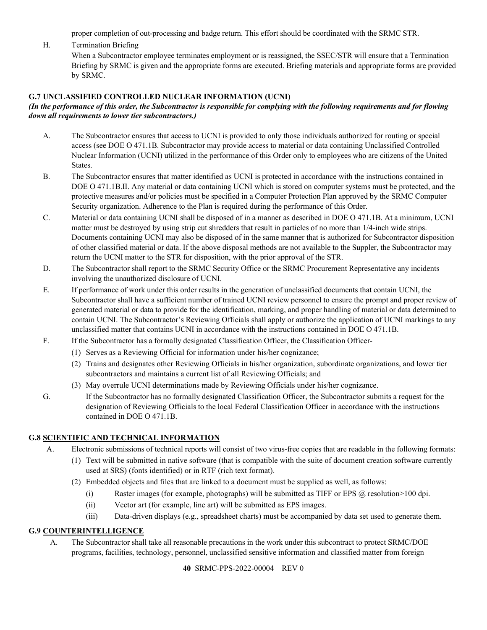proper completion of out-processing and badge return. This effort should be coordinated with the SRMC STR.

H. Termination Briefing

When a Subcontractor employee terminates employment or is reassigned, the SSEC/STR will ensure that a Termination Briefing by SRMC is given and the appropriate forms are executed. Briefing materials and appropriate forms are provided by SRMC.

## <span id="page-39-0"></span>**G.7 UNCLASSIFIED CONTROLLED NUCLEAR INFORMATION (UCNI)**

#### *(In the performance of this order, the Subcontractor is responsible for complying with the following requirements and for flowing down all requirements to lower tier subcontractors.)*

- A. The Subcontractor ensures that access to UCNI is provided to only those individuals authorized for routing or special access (see DOE O 471.1B. Subcontractor may provide access to material or data containing Unclassified Controlled Nuclear Information (UCNI) utilized in the performance of this Order only to employees who are citizens of the United States.
- B. The Subcontractor ensures that matter identified as UCNI is protected in accordance with the instructions contained in DOE O 471.1B.II. Any material or data containing UCNI which is stored on computer systems must be protected, and the protective measures and/or policies must be specified in a Computer Protection Plan approved by the SRMC Computer Security organization. Adherence to the Plan is required during the performance of this Order.
- C. Material or data containing UCNI shall be disposed of in a manner as described in DOE O 471.1B. At a minimum, UCNI matter must be destroyed by using strip cut shredders that result in particles of no more than 1/4-inch wide strips. Documents containing UCNI may also be disposed of in the same manner that is authorized for Subcontractor disposition of other classified material or data. If the above disposal methods are not available to the Suppler, the Subcontractor may return the UCNI matter to the STR for disposition, with the prior approval of the STR.
- D. The Subcontractor shall report to the SRMC Security Office or the SRMC Procurement Representative any incidents involving the unauthorized disclosure of UCNI.
- E. If performance of work under this order results in the generation of unclassified documents that contain UCNI, the Subcontractor shall have a sufficient number of trained UCNI review personnel to ensure the prompt and proper review of generated material or data to provide for the identification, marking, and proper handling of material or data determined to contain UCNI. The Subcontractor's Reviewing Officials shall apply or authorize the application of UCNI markings to any unclassified matter that contains UCNI in accordance with the instructions contained in DOE O 471.1B.
- F. If the Subcontractor has a formally designated Classification Officer, the Classification Officer-
	- (1) Serves as a Reviewing Official for information under his/her cognizance;
	- (2) Trains and designates other Reviewing Officials in his/her organization, subordinate organizations, and lower tier subcontractors and maintains a current list of all Reviewing Officials; and
	- (3) May overrule UCNI determinations made by Reviewing Officials under his/her cognizance.
- G. If the Subcontractor has no formally designated Classification Officer, the Subcontractor submits a request for the designation of Reviewing Officials to the local Federal Classification Officer in accordance with the instructions contained in DOE O 471.1B.

## <span id="page-39-1"></span>**G.8 SCIENTIFIC AND TECHNICAL INFORMATION**

- A. Electronic submissions of technical reports will consist of two virus-free copies that are readable in the following formats:
	- (1) Text will be submitted in native software (that is compatible with the suite of document creation software currently used at SRS) (fonts identified) or in RTF (rich text format).
	- (2) Embedded objects and files that are linked to a document must be supplied as well, as follows:
		- (i) Raster images (for example, photographs) will be submitted as TIFF or EPS @ resolution>100 dpi.
		- (ii) Vector art (for example, line art) will be submitted as EPS images.
		- (iii) Data-driven displays (e.g., spreadsheet charts) must be accompanied by data set used to generate them.

## <span id="page-39-2"></span>**G.9 COUNTERINTELLIGENCE**

A. The Subcontractor shall take all reasonable precautions in the work under this subcontract to protect SRMC/DOE programs, facilities, technology, personnel, unclassified sensitive information and classified matter from foreign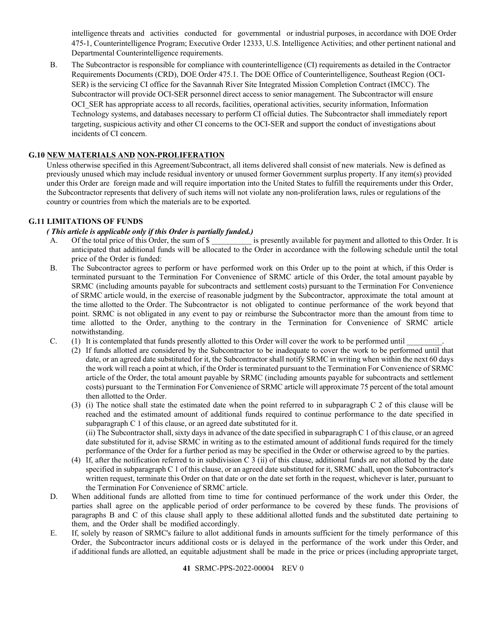intelligence threats and activities conducted for governmental or industrial purposes, in accordance with DOE Order 475-1, Counterintelligence Program; Executive Order 12333, U.S. Intelligence Activities; and other pertinent national and Departmental Counterintelligence requirements.

B. The Subcontractor is responsible for compliance with counterintelligence (CI) requirements as detailed in the Contractor Requirements Documents (CRD), DOE Order 475.1. The DOE Office of Counterintelligence, Southeast Region (OCI-SER) is the servicing CI office for the Savannah River Site Integrated Mission Completion Contract (IMCC). The Subcontractor will provide OCI-SER personnel direct access to senior management. The Subcontractor will ensure OCI SER has appropriate access to all records, facilities, operational activities, security information, Information Technology systems, and databases necessary to perform CI official duties. The Subcontractor shall immediately report targeting, suspicious activity and other CI concerns to the OCI-SER and support the conduct of investigations about incidents of CI concern.

## <span id="page-40-0"></span>**G.10 NEW MATERIALS AND NON-PROLIFERATION**

Unless otherwise specified in this Agreement/Subcontract, all items delivered shall consist of new materials. New is defined as previously unused which may include residual inventory or unused former Government surplus property. If any item(s) provided under this Order are foreign made and will require importation into the United States to fulfill the requirements under this Order, the Subcontractor represents that delivery of such items will not violate any non-proliferation laws, rules or regulations of the country or countries from which the materials are to be exported.

## <span id="page-40-1"></span>**G.11 LIMITATIONS OF FUNDS**

# *(This article is applicable only if this Order is partially funded.)*<br>A. Of the total price of this Order, the sum of \$

- A. Of the total price of this Order, the sum of \$ is presently available for payment and allotted to this Order. It is anticipated that additional funds will be allocated to the Order in accordance with the following schedule until the total price of the Order is funded:
- B. The Subcontractor agrees to perform or have performed work on this Order up to the point at which, if this Order is terminated pursuant to the Termination For Convenience of SRMC article of this Order, the total amount payable by SRMC (including amounts payable for subcontracts and settlement costs) pursuant to the Termination For Convenience of SRMC article would, in the exercise of reasonable judgment by the Subcontractor, approximate the total amount at the time allotted to the Order. The Subcontractor is not obligated to continue performance of the work beyond that point. SRMC is not obligated in any event to pay or reimburse the Subcontractor more than the amount from time to time allotted to the Order, anything to the contrary in the Termination for Convenience of SRMC article notwithstanding.
- C. (1) It is contemplated that funds presently allotted to this Order will cover the work to be performed until
	- (2) If funds allotted are considered by the Subcontractor to be inadequate to cover the work to be performed until that date, or an agreed date substituted for it, the Subcontractor shall notify SRMC in writing when within the next 60 days the work will reach a point at which, if the Order is terminated pursuant to the Termination For Convenience of SRMC article of the Order, the total amount payable by SRMC (including amounts payable for subcontracts and settlement costs) pursuant to the Termination For Convenience of SRMC article will approximate 75 percent of the total amount then allotted to the Order.
		- (3) (i) The notice shall state the estimated date when the point referred to in subparagraph C 2 of this clause will be reached and the estimated amount of additional funds required to continue performance to the date specified in subparagraph C 1 of this clause, or an agreed date substituted for it. (ii) The Subcontractor shall, sixty days in advance of the date specified in subparagraph C 1 of this clause, or an agreed date substituted for it, advise SRMC in writing as to the estimated amount of additional funds required for the timely performance of the Order for a further period as may be specified in the Order or otherwise agreed to by the parties.
		- (4) If, after the notification referred to in subdivision C 3 (ii) of this clause, additional funds are not allotted by the date specified in subparagraph C 1 of this clause, or an agreed date substituted for it, SRMC shall, upon the Subcontractor's written request, terminate this Order on that date or on the date set forth in the request, whichever is later, pursuant to the Termination For Convenience of SRMC article.
- D. When additional funds are allotted from time to time for continued performance of the work under this Order, the parties shall agree on the applicable period of order performance to be covered by these funds. The provisions of paragraphs B and C of this clause shall apply to these additional allotted funds and the substituted date pertaining to them, and the Order shall be modified accordingly.
- E. If, solely by reason of SRMC's failure to allot additional funds in amounts sufficient for the timely performance of this Order, the Subcontractor incurs additional costs or is delayed in the performance of the work under this Order, and if additional funds are allotted, an equitable adjustment shall be made in the price or prices (including appropriate target,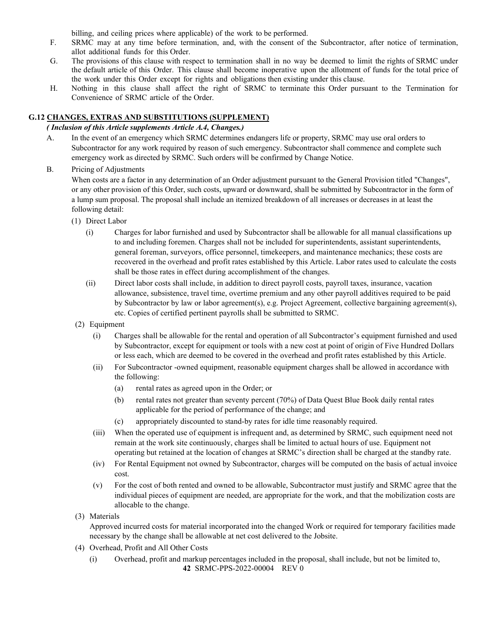billing, and ceiling prices where applicable) of the work to be performed.

- F. SRMC may at any time before termination, and, with the consent of the Subcontractor, after notice of termination, allot additional funds for this Order.
- G. The provisions of this clause with respect to termination shall in no way be deemed to limit the rights of SRMC under the default article of this Order. This clause shall become inoperative upon the allotment of funds for the total price of the work under this Order except for rights and obligations then existing under this clause.
- H. Nothing in this clause shall affect the right of SRMC to terminate this Order pursuant to the Termination for Convenience of SRMC article of the Order.

#### <span id="page-41-0"></span>**G.12 CHANGES, EXTRAS AND SUBSTITUTIONS (SUPPLEMENT)**

## *( Inclusion of this Article supplements Article A.4, Changes.)*

- A. In the event of an emergency which SRMC determines endangers life or property, SRMC may use oral orders to Subcontractor for any work required by reason of such emergency. Subcontractor shall commence and complete such emergency work as directed by SRMC. Such orders will be confirmed by Change Notice.
- B. Pricing of Adjustments

When costs are a factor in any determination of an Order adjustment pursuant to the General Provision titled "Changes", or any other provision of this Order, such costs, upward or downward, shall be submitted by Subcontractor in the form of a lump sum proposal. The proposal shall include an itemized breakdown of all increases or decreases in at least the following detail:

- (1) Direct Labor
	- (i) Charges for labor furnished and used by Subcontractor shall be allowable for all manual classifications up to and including foremen. Charges shall not be included for superintendents, assistant superintendents, general foreman, surveyors, office personnel, timekeepers, and maintenance mechanics; these costs are recovered in the overhead and profit rates established by this Article. Labor rates used to calculate the costs shall be those rates in effect during accomplishment of the changes.
	- (ii) Direct labor costs shall include, in addition to direct payroll costs, payroll taxes, insurance, vacation allowance, subsistence, travel time, overtime premium and any other payroll additives required to be paid by Subcontractor by law or labor agreement(s), e.g. Project Agreement, collective bargaining agreement(s), etc. Copies of certified pertinent payrolls shall be submitted to SRMC.
- (2) Equipment
	- (i) Charges shall be allowable for the rental and operation of all Subcontractor's equipment furnished and used by Subcontractor, except for equipment or tools with a new cost at point of origin of Five Hundred Dollars or less each, which are deemed to be covered in the overhead and profit rates established by this Article.
	- (ii) For Subcontractor -owned equipment, reasonable equipment charges shall be allowed in accordance with the following:
		- (a) rental rates as agreed upon in the Order; or
		- (b) rental rates not greater than seventy percent (70%) of Data Quest Blue Book daily rental rates applicable for the period of performance of the change; and
		- (c) appropriately discounted to stand-by rates for idle time reasonably required.
	- (iii) When the operated use of equipment is infrequent and, as determined by SRMC, such equipment need not remain at the work site continuously, charges shall be limited to actual hours of use. Equipment not operating but retained at the location of changes at SRMC's direction shall be charged at the standby rate.
	- (iv) For Rental Equipment not owned by Subcontractor, charges will be computed on the basis of actual invoice cost.
	- (v) For the cost of both rented and owned to be allowable, Subcontractor must justify and SRMC agree that the individual pieces of equipment are needed, are appropriate for the work, and that the mobilization costs are allocable to the change.
- (3) Materials

Approved incurred costs for material incorporated into the changed Work or required for temporary facilities made necessary by the change shall be allowable at net cost delivered to the Jobsite.

- (4) Overhead, Profit and All Other Costs
	- **42** SRMC-PPS-2022-00004 REV 0 (i) Overhead, profit and markup percentages included in the proposal, shall include, but not be limited to,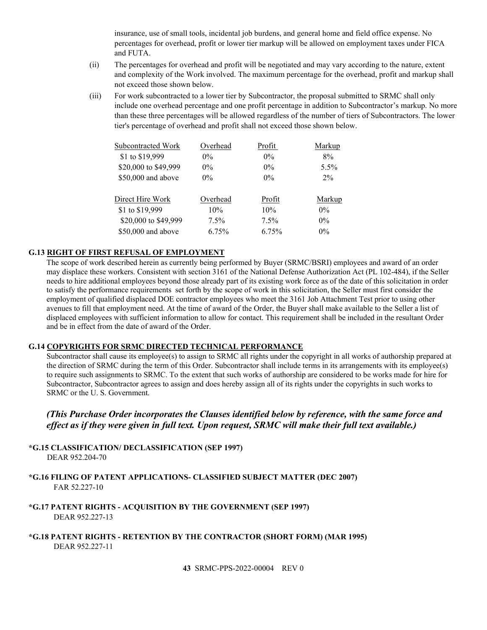insurance, use of small tools, incidental job burdens, and general home and field office expense. No percentages for overhead, profit or lower tier markup will be allowed on employment taxes under FICA and FUTA.

- (ii) The percentages for overhead and profit will be negotiated and may vary according to the nature, extent and complexity of the Work involved. The maximum percentage for the overhead, profit and markup shall not exceed those shown below.
- (iii) For work subcontracted to a lower tier by Subcontractor, the proposal submitted to SRMC shall only include one overhead percentage and one profit percentage in addition to Subcontractor's markup. No more than these three percentages will be allowed regardless of the number of tiers of Subcontractors. The lower tier's percentage of overhead and profit shall not exceed those shown below.

| Subcontracted Work   | Overhead | Profit  | Markup |
|----------------------|----------|---------|--------|
| \$1 to \$19,999      | $0\%$    | $0\%$   | 8%     |
| \$20,000 to \$49,999 | $0\%$    | $0\%$   | 5.5%   |
| \$50,000 and above   | $0\%$    | $0\%$   | $2\%$  |
| Direct Hire Work     | Overhead | Profit  | Markup |
| \$1 to \$19,999      | 10%      | 10%     | $0\%$  |
| \$20,000 to \$49,999 | $7.5\%$  | $7.5\%$ | $0\%$  |
| $$50,000$ and above  | 6.75%    | 6.75%   | $0\%$  |

#### <span id="page-42-0"></span>**G.13 RIGHT OF FIRST REFUSAL OF EMPLOYMENT**

The scope of work described herein as currently being performed by Buyer (SRMC/BSRI) employees and award of an order may displace these workers. Consistent with section 3161 of the National Defense Authorization Act (PL 102-484), if the Seller needs to hire additional employees beyond those already part of its existing work force as of the date of this solicitation in order to satisfy the performance requirements set forth by the scope of work in this solicitation, the Seller must first consider the employment of qualified displaced DOE contractor employees who meet the 3161 Job Attachment Test prior to using other avenues to fill that employment need. At the time of award of the Order, the Buyer shall make available to the Seller a list of displaced employees with sufficient information to allow for contact. This requirement shall be included in the resultant Order and be in effect from the date of award of the Order.

#### <span id="page-42-1"></span>**G.14 COPYRIGHTS FOR SRMC DIRECTED TECHNICAL PERFORMANCE**

Subcontractor shall cause its employee(s) to assign to SRMC all rights under the copyright in all works of authorship prepared at the direction of SRMC during the term of this Order. Subcontractor shall include terms in its arrangements with its employee(s) to require such assignments to SRMC. To the extent that such works of authorship are considered to be works made for hire for Subcontractor, Subcontractor agrees to assign and does hereby assign all of its rights under the copyrights in such works to SRMC or the U. S. Government.

*(This Purchase Order incorporates the Clauses identified below by reference, with the same force and effect as if they were given in full text. Upon request, SRMC will make their full text available.)*

<span id="page-42-2"></span>**\*G.15 CLASSIFICATION/ DECLASSIFICATION (SEP 1997)** DEAR 952.204-70

- <span id="page-42-3"></span>**\*G.16 FILING OF PATENT APPLICATIONS- CLASSIFIED SUBJECT MATTER (DEC 2007)** FAR 52.227-10
- <span id="page-42-4"></span>**\*G.17 PATENT RIGHTS - ACQUISITION BY THE GOVERNMENT (SEP 1997)** DEAR 952.227-13
- <span id="page-42-5"></span>**\*G.18 PATENT RIGHTS - RETENTION BY THE CONTRACTOR (SHORT FORM) (MAR 1995)** DEAR 952.227-11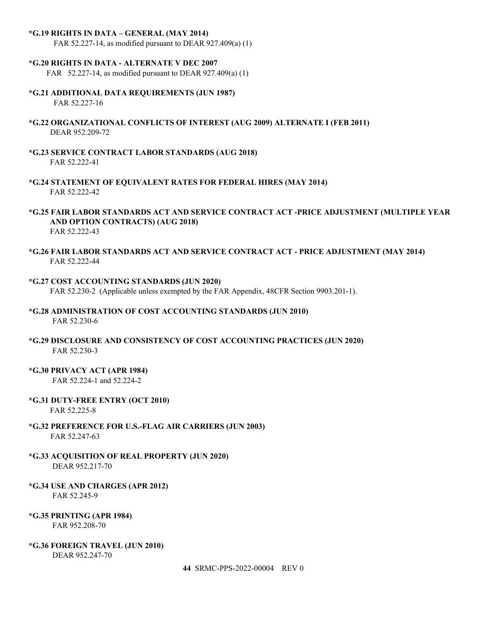#### <span id="page-43-0"></span>**\*G.19 RIGHTS IN DATA – GENERAL (MAY 2014)**

FAR 52.227-14, as modified pursuant to DEAR 927.409(a) (1)

#### <span id="page-43-1"></span>**\*G.20 RIGHTS IN DATA - ALTERNATE V DEC 2007**

FAR 52.227-14, as modified pursuant to DEAR 927.409(a) (1)

- <span id="page-43-2"></span>**\*G.21 ADDITIONAL DATA REQUIREMENTS (JUN 1987)** FAR 52.227-16
- <span id="page-43-3"></span>**\*G.22 ORGANIZATIONAL CONFLICTS OF INTEREST (AUG 2009) ALTERNATE I (FEB 2011)** DEAR 952.209-72
- <span id="page-43-4"></span>**\*G.23 SERVICE CONTRACT LABOR STANDARDS (AUG 2018)** FAR 52.222-41
- <span id="page-43-5"></span>**\*G.24 STATEMENT OF EQUIVALENT RATES FOR FEDERAL HIRES (MAY 2014)** FAR 52.222-42
- <span id="page-43-6"></span>**\*G.25 FAIR LABOR STANDARDS ACT AND SERVICE CONTRACT ACT -PRICE ADJUSTMENT (MULTIPLE YEAR AND OPTION CONTRACTS) (AUG 2018)** FAR 52.222-43
- <span id="page-43-7"></span>**\*G.26 FAIR LABOR STANDARDS ACT AND SERVICE CONTRACT ACT - PRICE ADJUSTMENT (MAY 2014)** FAR 52.222-44
- <span id="page-43-8"></span>**\*G.27 COST ACCOUNTING STANDARDS (JUN 2020)**  FAR 52.230-2 (Applicable unless exempted by the FAR Appendix, 48CFR Section 9903.201-1).
- <span id="page-43-9"></span>**\*G.28 ADMINISTRATION OF COST ACCOUNTING STANDARDS (JUN 2010)** FAR 52.230-6
- <span id="page-43-10"></span>**\*G.29 DISCLOSURE AND CONSISTENCY OF COST ACCOUNTING PRACTICES (JUN 2020)** FAR 52.230-3
- <span id="page-43-11"></span>**\*G.30 PRIVACY ACT (APR 1984)**

FAR 52.224-1 and 52.224-2

<span id="page-43-12"></span>**\*G.31 DUTY-FREE ENTRY (OCT 2010)**

FAR 52.225-8

- <span id="page-43-13"></span>**\*G.32 PREFERENCE FOR U.S.-FLAG AIR CARRIERS (JUN 2003)** FAR 52.247-63
- <span id="page-43-14"></span>**\*G.33 ACQUISITION OF REAL PROPERTY (JUN 2020)** DEAR 952.217-70
- <span id="page-43-15"></span>**\*G.34 USE AND CHARGES (APR 2012)** FAR 52.245-9
- <span id="page-43-16"></span>**\*G.35 PRINTING (APR 1984)** FAR 952.208-70
- <span id="page-43-17"></span>**\*G.36 FOREIGN TRAVEL (JUN 2010)**

DEAR 952.247-70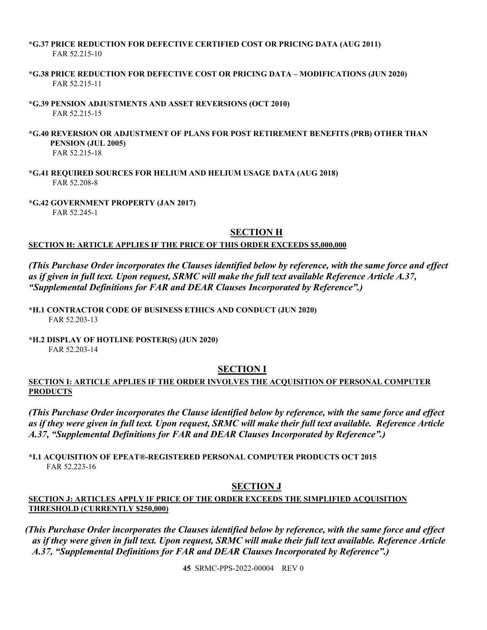#### <span id="page-44-0"></span>**\*G.37 PRICE REDUCTION FOR DEFECTIVE CERTIFIED COST OR PRICING DATA (AUG 2011)** FAR 52.215-10

- <span id="page-44-1"></span>**\*G.38 PRICE REDUCTION FOR DEFECTIVE COST OR PRICING DATA – MODIFICATIONS (JUN 2020)** FAR 52.215-11
- <span id="page-44-2"></span>**\*G.39 PENSION ADJUSTMENTS AND ASSET REVERSIONS (OCT 2010)** FAR 52.215-15
- <span id="page-44-3"></span>**\*G.40 REVERSION OR ADJUSTMENT OF PLANS FOR POST RETIREMENT BENEFITS (PRB) OTHER THAN PENSION (JUL 2005)** FAR 52.215-18
- <span id="page-44-4"></span>**\*G.41 REQUIRED SOURCES FOR HELIUM AND HELIUM USAGE DATA (AUG 2018)** FAR 52.208-8
- <span id="page-44-6"></span><span id="page-44-5"></span>**\*G.42 GOVERNMENT PROPERTY (JAN 2017)**

FAR 52.245-1

## **SECTION H**

# <span id="page-44-7"></span>**SECTION H: ARTICLE APPLIES IF THE PRICE OF THIS ORDER EXCEEDS \$5,000,000**

*(This Purchase Order incorporates the Clauses identified below by reference, with the same force and effect as if given in full text. Upon request, SRMC will make the full text available Reference Article A.37, "Supplemental Definitions for FAR and DEAR Clauses Incorporated by Reference".)*

<span id="page-44-8"></span>**\*H.1 CONTRACTOR CODE OF BUSINESS ETHICS AND CONDUCT (JUN 2020)** FAR 52.203-13

<span id="page-44-10"></span><span id="page-44-9"></span>**\*H.2 DISPLAY OF HOTLINE POSTER(S) (JUN 2020)** FAR 52.203-14

# **SECTION I**

# <span id="page-44-11"></span>**SECTION I: ARTICLE APPLIES IF THE ORDER INVOLVES THE ACQUISITION OF PERSONAL COMPUTER PRODUCTS**

*(This Purchase Order incorporates the Clause identified below by reference, with the same force and effect as if they were given in full text. Upon request, SRMC will make their full text available. Reference Article A.37, "Supplemental Definitions for FAR and DEAR Clauses Incorporated by Reference".)*

<span id="page-44-13"></span><span id="page-44-12"></span>**\*I.1 ACQUISITION OF EPEAT®-REGISTERED PERSONAL COMPUTER PRODUCTS OCT 2015** FAR 52.223-16

# **SECTION J**

# <span id="page-44-14"></span>**SECTION J: ARTICLES APPLY IF PRICE OF THE ORDER EXCEEDS THE SIMPLIFIED ACQUISITION THRESHOLD (CURRENTLY \$250,000)**

*(This Purchase Order incorporates the Clauses identified below by reference, with the same force and effect as if they were given in full text. Upon request, SRMC will make their full text available. Reference Article A.37, "Supplemental Definitions for FAR and DEAR Clauses Incorporated by Reference".)*